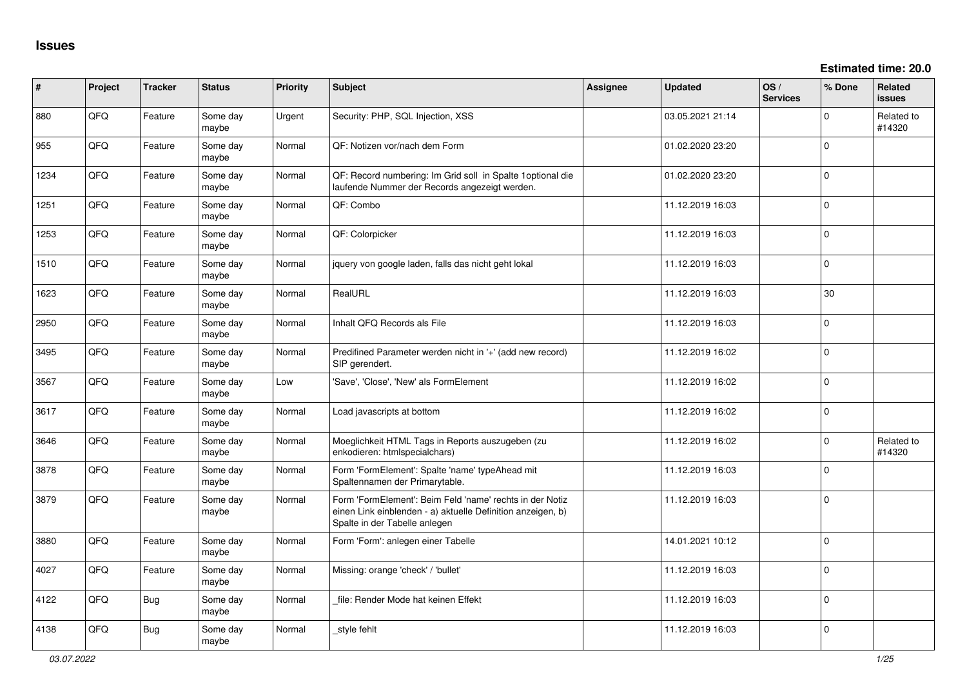**Estimated time: 20.0**

| ∦    | Project | <b>Tracker</b> | <b>Status</b>     | <b>Priority</b> | <b>Subject</b>                                                                                                                                           | <b>Assignee</b> | <b>Updated</b>   | OS/<br><b>Services</b> | % Done       | <b>Related</b><br><b>issues</b> |
|------|---------|----------------|-------------------|-----------------|----------------------------------------------------------------------------------------------------------------------------------------------------------|-----------------|------------------|------------------------|--------------|---------------------------------|
| 880  | QFQ     | Feature        | Some day<br>maybe | Urgent          | Security: PHP, SQL Injection, XSS                                                                                                                        |                 | 03.05.2021 21:14 |                        | $\Omega$     | Related to<br>#14320            |
| 955  | QFQ     | Feature        | Some day<br>maybe | Normal          | QF: Notizen vor/nach dem Form                                                                                                                            |                 | 01.02.2020 23:20 |                        | $\Omega$     |                                 |
| 1234 | QFQ     | Feature        | Some day<br>maybe | Normal          | QF: Record numbering: Im Grid soll in Spalte 1 optional die<br>laufende Nummer der Records angezeigt werden.                                             |                 | 01.02.2020 23:20 |                        | $\mathbf{0}$ |                                 |
| 1251 | QFQ     | Feature        | Some day<br>maybe | Normal          | QF: Combo                                                                                                                                                |                 | 11.12.2019 16:03 |                        | $\mathbf{0}$ |                                 |
| 1253 | QFQ     | Feature        | Some day<br>maybe | Normal          | QF: Colorpicker                                                                                                                                          |                 | 11.12.2019 16:03 |                        | $\Omega$     |                                 |
| 1510 | QFQ     | Feature        | Some day<br>maybe | Normal          | jquery von google laden, falls das nicht geht lokal                                                                                                      |                 | 11.12.2019 16:03 |                        | $\Omega$     |                                 |
| 1623 | QFQ     | Feature        | Some day<br>maybe | Normal          | RealURL                                                                                                                                                  |                 | 11.12.2019 16:03 |                        | 30           |                                 |
| 2950 | QFQ     | Feature        | Some day<br>maybe | Normal          | Inhalt QFQ Records als File                                                                                                                              |                 | 11.12.2019 16:03 |                        | $\Omega$     |                                 |
| 3495 | QFQ     | Feature        | Some day<br>maybe | Normal          | Predifined Parameter werden nicht in '+' (add new record)<br>SIP gerendert.                                                                              |                 | 11.12.2019 16:02 |                        | $\Omega$     |                                 |
| 3567 | QFQ     | Feature        | Some day<br>maybe | Low             | 'Save', 'Close', 'New' als FormElement                                                                                                                   |                 | 11.12.2019 16:02 |                        | $\Omega$     |                                 |
| 3617 | QFQ     | Feature        | Some day<br>maybe | Normal          | Load javascripts at bottom                                                                                                                               |                 | 11.12.2019 16:02 |                        | $\Omega$     |                                 |
| 3646 | QFQ     | Feature        | Some day<br>maybe | Normal          | Moeglichkeit HTML Tags in Reports auszugeben (zu<br>enkodieren: htmlspecialchars)                                                                        |                 | 11.12.2019 16:02 |                        | $\mathbf{0}$ | Related to<br>#14320            |
| 3878 | QFQ     | Feature        | Some day<br>maybe | Normal          | Form 'FormElement': Spalte 'name' typeAhead mit<br>Spaltennamen der Primarytable.                                                                        |                 | 11.12.2019 16:03 |                        | $\mathbf 0$  |                                 |
| 3879 | QFQ     | Feature        | Some day<br>maybe | Normal          | Form 'FormElement': Beim Feld 'name' rechts in der Notiz<br>einen Link einblenden - a) aktuelle Definition anzeigen, b)<br>Spalte in der Tabelle anlegen |                 | 11.12.2019 16:03 |                        | $\Omega$     |                                 |
| 3880 | QFQ     | Feature        | Some day<br>maybe | Normal          | Form 'Form': anlegen einer Tabelle                                                                                                                       |                 | 14.01.2021 10:12 |                        | $\Omega$     |                                 |
| 4027 | QFQ     | Feature        | Some day<br>maybe | Normal          | Missing: orange 'check' / 'bullet'                                                                                                                       |                 | 11.12.2019 16:03 |                        | $\mathbf{0}$ |                                 |
| 4122 | QFQ     | <b>Bug</b>     | Some day<br>maybe | Normal          | file: Render Mode hat keinen Effekt                                                                                                                      |                 | 11.12.2019 16:03 |                        | $\Omega$     |                                 |
| 4138 | QFQ     | <b>Bug</b>     | Some day<br>maybe | Normal          | _style fehlt                                                                                                                                             |                 | 11.12.2019 16:03 |                        | $\Omega$     |                                 |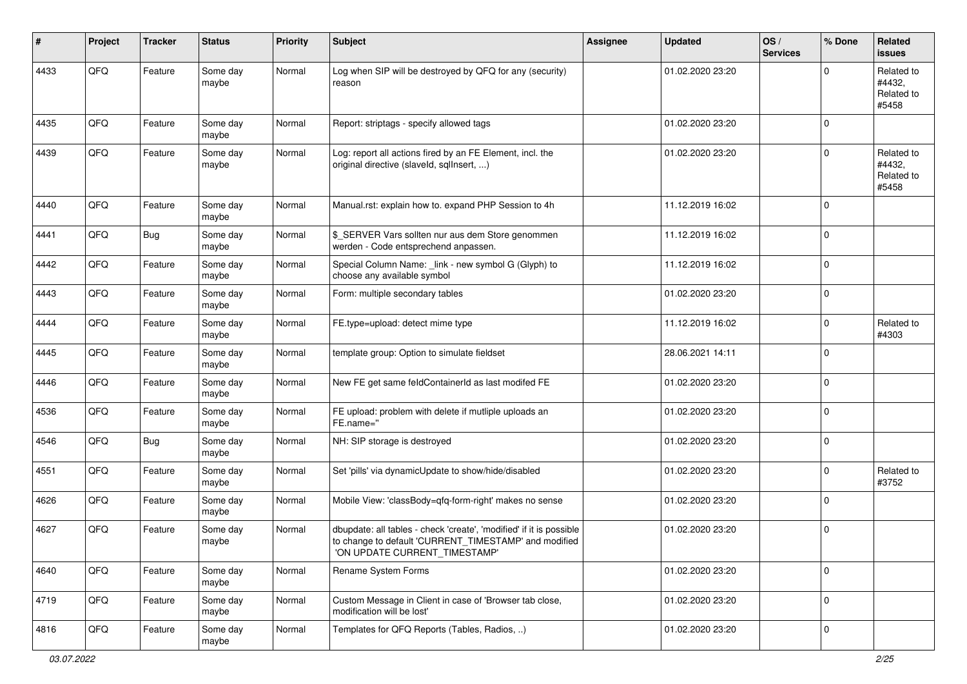| $\#$ | Project | <b>Tracker</b> | <b>Status</b>     | <b>Priority</b> | Subject                                                                                                                                                       | <b>Assignee</b> | <b>Updated</b>   | OS/<br><b>Services</b> | % Done      | Related<br><b>issues</b>                    |
|------|---------|----------------|-------------------|-----------------|---------------------------------------------------------------------------------------------------------------------------------------------------------------|-----------------|------------------|------------------------|-------------|---------------------------------------------|
| 4433 | QFQ     | Feature        | Some day<br>maybe | Normal          | Log when SIP will be destroyed by QFQ for any (security)<br>reason                                                                                            |                 | 01.02.2020 23:20 |                        | $\Omega$    | Related to<br>#4432,<br>Related to<br>#5458 |
| 4435 | QFQ     | Feature        | Some day<br>maybe | Normal          | Report: striptags - specify allowed tags                                                                                                                      |                 | 01.02.2020 23:20 |                        | $\Omega$    |                                             |
| 4439 | QFQ     | Feature        | Some day<br>maybe | Normal          | Log: report all actions fired by an FE Element, incl. the<br>original directive (slaveld, sqlInsert, )                                                        |                 | 01.02.2020 23:20 |                        | $\mathbf 0$ | Related to<br>#4432,<br>Related to<br>#5458 |
| 4440 | QFQ     | Feature        | Some day<br>maybe | Normal          | Manual.rst: explain how to. expand PHP Session to 4h                                                                                                          |                 | 11.12.2019 16:02 |                        | $\Omega$    |                                             |
| 4441 | QFQ     | Bug            | Some day<br>maybe | Normal          | \$_SERVER Vars sollten nur aus dem Store genommen<br>werden - Code entsprechend anpassen.                                                                     |                 | 11.12.2019 16:02 |                        | $\Omega$    |                                             |
| 4442 | QFQ     | Feature        | Some day<br>maybe | Normal          | Special Column Name: _link - new symbol G (Glyph) to<br>choose any available symbol                                                                           |                 | 11.12.2019 16:02 |                        | 0           |                                             |
| 4443 | QFQ     | Feature        | Some day<br>maybe | Normal          | Form: multiple secondary tables                                                                                                                               |                 | 01.02.2020 23:20 |                        | 0           |                                             |
| 4444 | QFQ     | Feature        | Some day<br>maybe | Normal          | FE.type=upload: detect mime type                                                                                                                              |                 | 11.12.2019 16:02 |                        | $\mathbf 0$ | Related to<br>#4303                         |
| 4445 | QFQ     | Feature        | Some day<br>maybe | Normal          | template group: Option to simulate fieldset                                                                                                                   |                 | 28.06.2021 14:11 |                        | $\Omega$    |                                             |
| 4446 | QFQ     | Feature        | Some day<br>maybe | Normal          | New FE get same feldContainerId as last modifed FE                                                                                                            |                 | 01.02.2020 23:20 |                        | $\mathbf 0$ |                                             |
| 4536 | QFQ     | Feature        | Some day<br>maybe | Normal          | FE upload: problem with delete if mutliple uploads an<br>FE.name="                                                                                            |                 | 01.02.2020 23:20 |                        | $\mathbf 0$ |                                             |
| 4546 | QFQ     | <b>Bug</b>     | Some day<br>maybe | Normal          | NH: SIP storage is destroyed                                                                                                                                  |                 | 01.02.2020 23:20 |                        | $\mathbf 0$ |                                             |
| 4551 | QFQ     | Feature        | Some day<br>maybe | Normal          | Set 'pills' via dynamicUpdate to show/hide/disabled                                                                                                           |                 | 01.02.2020 23:20 |                        | $\mathbf 0$ | Related to<br>#3752                         |
| 4626 | QFQ     | Feature        | Some day<br>maybe | Normal          | Mobile View: 'classBody=qfq-form-right' makes no sense                                                                                                        |                 | 01.02.2020 23:20 |                        | 0           |                                             |
| 4627 | QFQ     | Feature        | Some day<br>maybe | Normal          | dbupdate: all tables - check 'create', 'modified' if it is possible<br>to change to default 'CURRENT_TIMESTAMP' and modified<br>'ON UPDATE CURRENT_TIMESTAMP' |                 | 01.02.2020 23:20 |                        | $\mathbf 0$ |                                             |
| 4640 | QFG     | Feature        | Some day<br>maybe | Normal          | Rename System Forms                                                                                                                                           |                 | 01.02.2020 23:20 |                        | $\mathbf 0$ |                                             |
| 4719 | QFQ     | Feature        | Some day<br>maybe | Normal          | Custom Message in Client in case of 'Browser tab close,<br>modification will be lost'                                                                         |                 | 01.02.2020 23:20 |                        | 0           |                                             |
| 4816 | QFQ     | Feature        | Some day<br>maybe | Normal          | Templates for QFQ Reports (Tables, Radios, )                                                                                                                  |                 | 01.02.2020 23:20 |                        | 0           |                                             |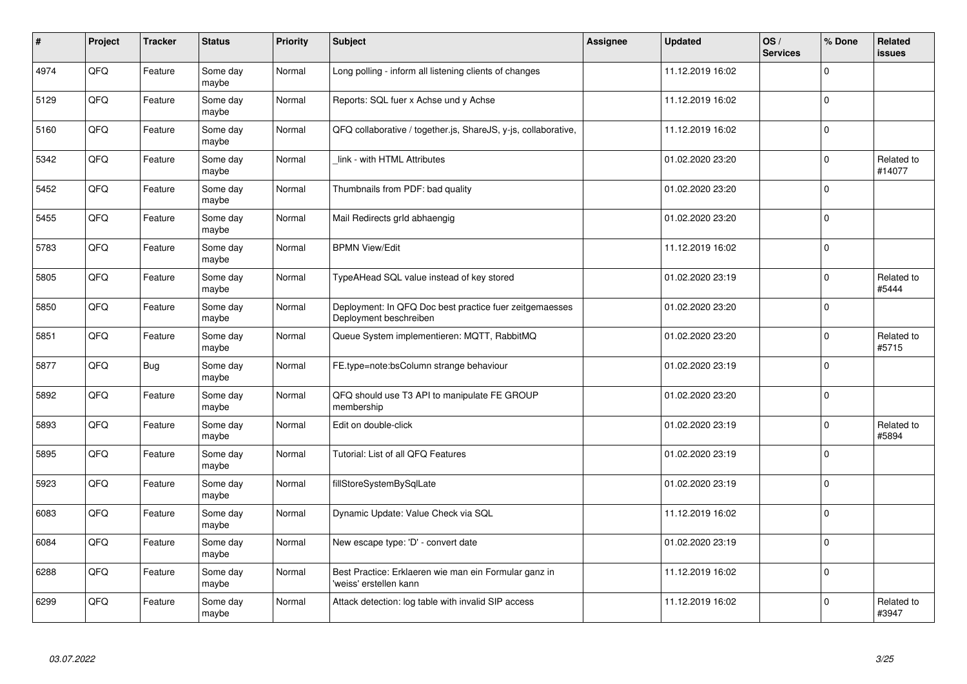| $\vert$ # | Project | <b>Tracker</b> | <b>Status</b>     | <b>Priority</b> | <b>Subject</b>                                                                    | Assignee | <b>Updated</b>   | OS/<br><b>Services</b> | % Done      | Related<br>issues    |
|-----------|---------|----------------|-------------------|-----------------|-----------------------------------------------------------------------------------|----------|------------------|------------------------|-------------|----------------------|
| 4974      | QFQ     | Feature        | Some day<br>maybe | Normal          | Long polling - inform all listening clients of changes                            |          | 11.12.2019 16:02 |                        | $\mathbf 0$ |                      |
| 5129      | QFQ     | Feature        | Some day<br>maybe | Normal          | Reports: SQL fuer x Achse und y Achse                                             |          | 11.12.2019 16:02 |                        | 0           |                      |
| 5160      | QFQ     | Feature        | Some day<br>maybe | Normal          | QFQ collaborative / together.js, ShareJS, y-js, collaborative,                    |          | 11.12.2019 16:02 |                        | $\mathbf 0$ |                      |
| 5342      | QFQ     | Feature        | Some day<br>maybe | Normal          | link - with HTML Attributes                                                       |          | 01.02.2020 23:20 |                        | $\Omega$    | Related to<br>#14077 |
| 5452      | QFQ     | Feature        | Some day<br>maybe | Normal          | Thumbnails from PDF: bad quality                                                  |          | 01.02.2020 23:20 |                        | $\mathbf 0$ |                      |
| 5455      | QFQ     | Feature        | Some day<br>maybe | Normal          | Mail Redirects grld abhaengig                                                     |          | 01.02.2020 23:20 |                        | 0           |                      |
| 5783      | QFQ     | Feature        | Some day<br>maybe | Normal          | <b>BPMN View/Edit</b>                                                             |          | 11.12.2019 16:02 |                        | $\Omega$    |                      |
| 5805      | QFQ     | Feature        | Some day<br>maybe | Normal          | TypeAHead SQL value instead of key stored                                         |          | 01.02.2020 23:19 |                        | $\Omega$    | Related to<br>#5444  |
| 5850      | QFQ     | Feature        | Some day<br>maybe | Normal          | Deployment: In QFQ Doc best practice fuer zeitgemaesses<br>Deployment beschreiben |          | 01.02.2020 23:20 |                        | $\mathbf 0$ |                      |
| 5851      | QFQ     | Feature        | Some day<br>maybe | Normal          | Queue System implementieren: MQTT, RabbitMQ                                       |          | 01.02.2020 23:20 |                        | $\mathbf 0$ | Related to<br>#5715  |
| 5877      | QFQ     | Bug            | Some day<br>maybe | Normal          | FE.type=note:bsColumn strange behaviour                                           |          | 01.02.2020 23:19 |                        | $\Omega$    |                      |
| 5892      | QFQ     | Feature        | Some day<br>maybe | Normal          | QFQ should use T3 API to manipulate FE GROUP<br>membership                        |          | 01.02.2020 23:20 |                        | 0           |                      |
| 5893      | QFQ     | Feature        | Some day<br>maybe | Normal          | Edit on double-click                                                              |          | 01.02.2020 23:19 |                        | $\mathbf 0$ | Related to<br>#5894  |
| 5895      | QFQ     | Feature        | Some day<br>maybe | Normal          | Tutorial: List of all QFQ Features                                                |          | 01.02.2020 23:19 |                        | $\pmb{0}$   |                      |
| 5923      | QFQ     | Feature        | Some day<br>maybe | Normal          | fillStoreSystemBySqlLate                                                          |          | 01.02.2020 23:19 |                        | $\Omega$    |                      |
| 6083      | QFQ     | Feature        | Some day<br>maybe | Normal          | Dynamic Update: Value Check via SQL                                               |          | 11.12.2019 16:02 |                        | $\mathbf 0$ |                      |
| 6084      | QFQ     | Feature        | Some day<br>maybe | Normal          | New escape type: 'D' - convert date                                               |          | 01.02.2020 23:19 |                        | $\mathbf 0$ |                      |
| 6288      | QFQ     | Feature        | Some day<br>maybe | Normal          | Best Practice: Erklaeren wie man ein Formular ganz in<br>'weiss' erstellen kann   |          | 11.12.2019 16:02 |                        | $\pmb{0}$   |                      |
| 6299      | QFQ     | Feature        | Some day<br>maybe | Normal          | Attack detection: log table with invalid SIP access                               |          | 11.12.2019 16:02 |                        | $\Omega$    | Related to<br>#3947  |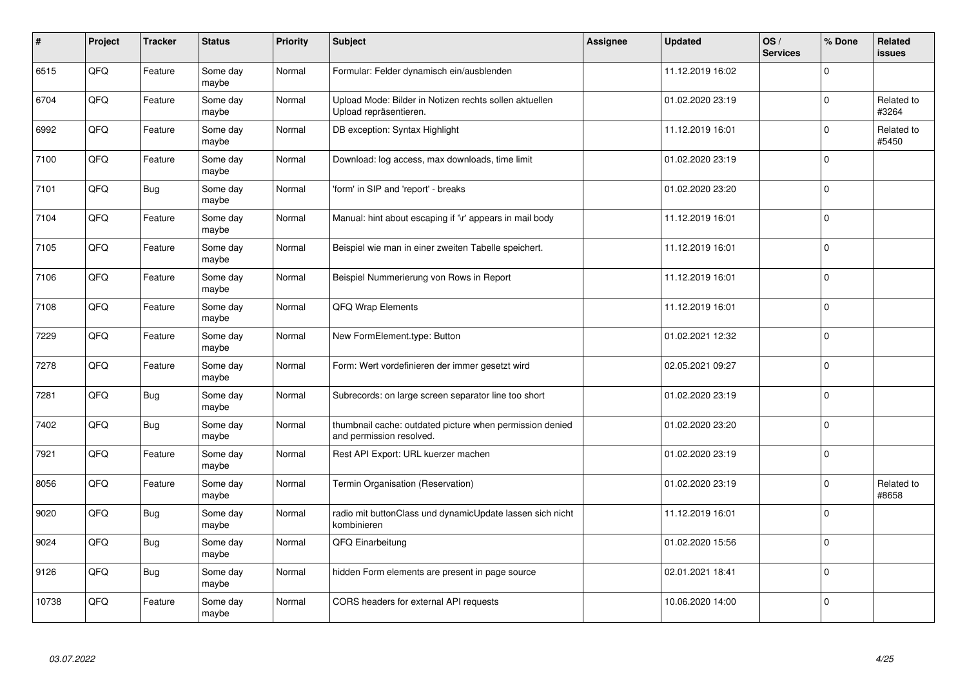| #     | Project | <b>Tracker</b> | <b>Status</b>     | <b>Priority</b> | <b>Subject</b>                                                                       | Assignee | <b>Updated</b>   | OS/<br><b>Services</b> | % Done      | Related<br>issues   |
|-------|---------|----------------|-------------------|-----------------|--------------------------------------------------------------------------------------|----------|------------------|------------------------|-------------|---------------------|
| 6515  | QFQ     | Feature        | Some day<br>maybe | Normal          | Formular: Felder dynamisch ein/ausblenden                                            |          | 11.12.2019 16:02 |                        | $\Omega$    |                     |
| 6704  | QFQ     | Feature        | Some day<br>maybe | Normal          | Upload Mode: Bilder in Notizen rechts sollen aktuellen<br>Upload repräsentieren.     |          | 01.02.2020 23:19 |                        | 0           | Related to<br>#3264 |
| 6992  | QFQ     | Feature        | Some day<br>maybe | Normal          | DB exception: Syntax Highlight                                                       |          | 11.12.2019 16:01 |                        | $\Omega$    | Related to<br>#5450 |
| 7100  | QFQ     | Feature        | Some day<br>maybe | Normal          | Download: log access, max downloads, time limit                                      |          | 01.02.2020 23:19 |                        | $\Omega$    |                     |
| 7101  | QFQ     | <b>Bug</b>     | Some day<br>maybe | Normal          | 'form' in SIP and 'report' - breaks                                                  |          | 01.02.2020 23:20 |                        | $\Omega$    |                     |
| 7104  | QFQ     | Feature        | Some day<br>maybe | Normal          | Manual: hint about escaping if '\r' appears in mail body                             |          | 11.12.2019 16:01 |                        | $\Omega$    |                     |
| 7105  | QFQ     | Feature        | Some day<br>maybe | Normal          | Beispiel wie man in einer zweiten Tabelle speichert.                                 |          | 11.12.2019 16:01 |                        | $\mathbf 0$ |                     |
| 7106  | QFQ     | Feature        | Some day<br>maybe | Normal          | Beispiel Nummerierung von Rows in Report                                             |          | 11.12.2019 16:01 |                        | $\Omega$    |                     |
| 7108  | QFQ     | Feature        | Some day<br>maybe | Normal          | <b>QFQ Wrap Elements</b>                                                             |          | 11.12.2019 16:01 |                        | $\Omega$    |                     |
| 7229  | QFQ     | Feature        | Some day<br>maybe | Normal          | New FormElement.type: Button                                                         |          | 01.02.2021 12:32 |                        | $\mathbf 0$ |                     |
| 7278  | QFQ     | Feature        | Some day<br>maybe | Normal          | Form: Wert vordefinieren der immer gesetzt wird                                      |          | 02.05.2021 09:27 |                        | $\mathbf 0$ |                     |
| 7281  | QFQ     | Bug            | Some day<br>maybe | Normal          | Subrecords: on large screen separator line too short                                 |          | 01.02.2020 23:19 |                        | $\mathbf 0$ |                     |
| 7402  | QFQ     | Bug            | Some day<br>maybe | Normal          | thumbnail cache: outdated picture when permission denied<br>and permission resolved. |          | 01.02.2020 23:20 |                        | $\Omega$    |                     |
| 7921  | QFQ     | Feature        | Some day<br>maybe | Normal          | Rest API Export: URL kuerzer machen                                                  |          | 01.02.2020 23:19 |                        | $\mathbf 0$ |                     |
| 8056  | QFQ     | Feature        | Some day<br>maybe | Normal          | Termin Organisation (Reservation)                                                    |          | 01.02.2020 23:19 |                        | $\Omega$    | Related to<br>#8658 |
| 9020  | QFQ     | <b>Bug</b>     | Some day<br>maybe | Normal          | radio mit buttonClass und dynamicUpdate lassen sich nicht<br>kombinieren             |          | 11.12.2019 16:01 |                        | $\Omega$    |                     |
| 9024  | QFQ     | Bug            | Some day<br>maybe | Normal          | QFQ Einarbeitung                                                                     |          | 01.02.2020 15:56 |                        | $\Omega$    |                     |
| 9126  | QFQ     | Bug            | Some day<br>maybe | Normal          | hidden Form elements are present in page source                                      |          | 02.01.2021 18:41 |                        | 0           |                     |
| 10738 | QFQ     | Feature        | Some day<br>maybe | Normal          | CORS headers for external API requests                                               |          | 10.06.2020 14:00 |                        | $\Omega$    |                     |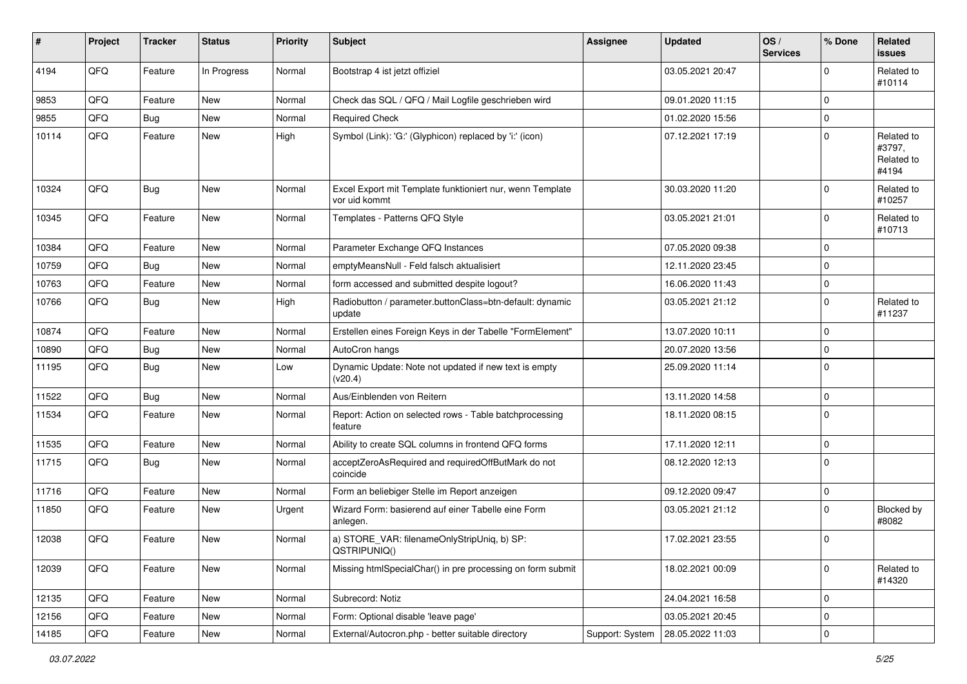| #     | Project | <b>Tracker</b> | <b>Status</b> | <b>Priority</b> | <b>Subject</b>                                                             | <b>Assignee</b> | <b>Updated</b>   | OS/<br><b>Services</b> | % Done      | Related<br><b>issues</b>                    |
|-------|---------|----------------|---------------|-----------------|----------------------------------------------------------------------------|-----------------|------------------|------------------------|-------------|---------------------------------------------|
| 4194  | QFQ     | Feature        | In Progress   | Normal          | Bootstrap 4 ist jetzt offiziel                                             |                 | 03.05.2021 20:47 |                        | $\Omega$    | Related to<br>#10114                        |
| 9853  | QFQ     | Feature        | <b>New</b>    | Normal          | Check das SQL / QFQ / Mail Logfile geschrieben wird                        |                 | 09.01.2020 11:15 |                        | $\mathbf 0$ |                                             |
| 9855  | QFQ     | Bug            | <b>New</b>    | Normal          | <b>Required Check</b>                                                      |                 | 01.02.2020 15:56 |                        | 0           |                                             |
| 10114 | QFQ     | Feature        | <b>New</b>    | High            | Symbol (Link): 'G:' (Glyphicon) replaced by 'i:' (icon)                    |                 | 07.12.2021 17:19 |                        | $\mathbf 0$ | Related to<br>#3797,<br>Related to<br>#4194 |
| 10324 | QFQ     | Bug            | <b>New</b>    | Normal          | Excel Export mit Template funktioniert nur, wenn Template<br>vor uid kommt |                 | 30.03.2020 11:20 |                        | $\mathbf 0$ | Related to<br>#10257                        |
| 10345 | QFQ     | Feature        | <b>New</b>    | Normal          | Templates - Patterns QFQ Style                                             |                 | 03.05.2021 21:01 |                        | $\mathbf 0$ | Related to<br>#10713                        |
| 10384 | QFQ     | Feature        | <b>New</b>    | Normal          | Parameter Exchange QFQ Instances                                           |                 | 07.05.2020 09:38 |                        | $\Omega$    |                                             |
| 10759 | QFQ     | Bug            | <b>New</b>    | Normal          | emptyMeansNull - Feld falsch aktualisiert                                  |                 | 12.11.2020 23:45 |                        | $\mathbf 0$ |                                             |
| 10763 | QFQ     | Feature        | <b>New</b>    | Normal          | form accessed and submitted despite logout?                                |                 | 16.06.2020 11:43 |                        | 0           |                                             |
| 10766 | QFQ     | Bug            | New           | High            | Radiobutton / parameter.buttonClass=btn-default: dynamic<br>update         |                 | 03.05.2021 21:12 |                        | $\Omega$    | Related to<br>#11237                        |
| 10874 | QFQ     | Feature        | <b>New</b>    | Normal          | Erstellen eines Foreign Keys in der Tabelle "FormElement"                  |                 | 13.07.2020 10:11 |                        | $\mathbf 0$ |                                             |
| 10890 | QFQ     | <b>Bug</b>     | <b>New</b>    | Normal          | AutoCron hangs                                                             |                 | 20.07.2020 13:56 |                        | $\mathbf 0$ |                                             |
| 11195 | QFQ     | Bug            | New           | Low             | Dynamic Update: Note not updated if new text is empty<br>(v20.4)           |                 | 25.09.2020 11:14 |                        | $\Omega$    |                                             |
| 11522 | QFQ     | Bug            | <b>New</b>    | Normal          | Aus/Einblenden von Reitern                                                 |                 | 13.11.2020 14:58 |                        | 0           |                                             |
| 11534 | QFQ     | Feature        | <b>New</b>    | Normal          | Report: Action on selected rows - Table batchprocessing<br>feature         |                 | 18.11.2020 08:15 |                        | 0           |                                             |
| 11535 | QFQ     | Feature        | <b>New</b>    | Normal          | Ability to create SQL columns in frontend QFQ forms                        |                 | 17.11.2020 12:11 |                        | $\mathbf 0$ |                                             |
| 11715 | QFQ     | Bug            | New           | Normal          | acceptZeroAsRequired and requiredOffButMark do not<br>coincide             |                 | 08.12.2020 12:13 |                        | $\Omega$    |                                             |
| 11716 | QFQ     | Feature        | <b>New</b>    | Normal          | Form an beliebiger Stelle im Report anzeigen                               |                 | 09.12.2020 09:47 |                        | $\mathbf 0$ |                                             |
| 11850 | QFQ     | Feature        | <b>New</b>    | Urgent          | Wizard Form: basierend auf einer Tabelle eine Form<br>anlegen.             |                 | 03.05.2021 21:12 |                        | $\Omega$    | Blocked by<br>#8082                         |
| 12038 | QFQ     | Feature        | <b>New</b>    | Normal          | a) STORE_VAR: filenameOnlyStripUniq, b) SP:<br>QSTRIPUNIQ()                |                 | 17.02.2021 23:55 |                        | $\mathbf 0$ |                                             |
| 12039 | QFQ     | Feature        | <b>New</b>    | Normal          | Missing htmlSpecialChar() in pre processing on form submit                 |                 | 18.02.2021 00:09 |                        | $\mathbf 0$ | Related to<br>#14320                        |
| 12135 | QFQ     | Feature        | New           | Normal          | Subrecord: Notiz                                                           |                 | 24.04.2021 16:58 |                        | $\mathbf 0$ |                                             |
| 12156 | QFQ     | Feature        | New           | Normal          | Form: Optional disable 'leave page'                                        |                 | 03.05.2021 20:45 |                        | 0           |                                             |
| 14185 | QFQ     | Feature        | New           | Normal          | External/Autocron.php - better suitable directory                          | Support: System | 28.05.2022 11:03 |                        | 0           |                                             |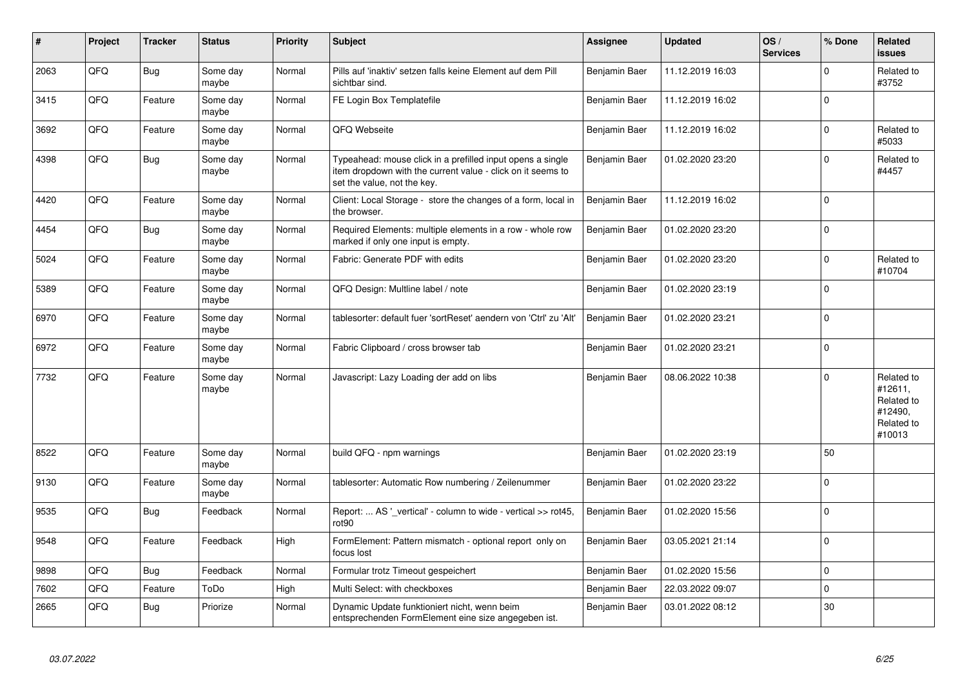| #    | Project | Tracker | <b>Status</b>     | <b>Priority</b> | <b>Subject</b>                                                                                                                                           | Assignee      | <b>Updated</b>   | OS/<br><b>Services</b> | % Done      | Related<br>issues                                                      |
|------|---------|---------|-------------------|-----------------|----------------------------------------------------------------------------------------------------------------------------------------------------------|---------------|------------------|------------------------|-------------|------------------------------------------------------------------------|
| 2063 | QFQ     | Bug     | Some day<br>maybe | Normal          | Pills auf 'inaktiv' setzen falls keine Element auf dem Pill<br>sichtbar sind.                                                                            | Benjamin Baer | 11.12.2019 16:03 |                        | $\Omega$    | Related to<br>#3752                                                    |
| 3415 | QFQ     | Feature | Some day<br>maybe | Normal          | FE Login Box Templatefile                                                                                                                                | Benjamin Baer | 11.12.2019 16:02 |                        | $\Omega$    |                                                                        |
| 3692 | QFQ     | Feature | Some day<br>maybe | Normal          | QFQ Webseite                                                                                                                                             | Benjamin Baer | 11.12.2019 16:02 |                        | $\Omega$    | Related to<br>#5033                                                    |
| 4398 | QFQ     | Bug     | Some day<br>maybe | Normal          | Typeahead: mouse click in a prefilled input opens a single<br>item dropdown with the current value - click on it seems to<br>set the value, not the key. | Benjamin Baer | 01.02.2020 23:20 |                        | $\Omega$    | Related to<br>#4457                                                    |
| 4420 | QFQ     | Feature | Some day<br>maybe | Normal          | Client: Local Storage - store the changes of a form, local in<br>the browser.                                                                            | Benjamin Baer | 11.12.2019 16:02 |                        | $\Omega$    |                                                                        |
| 4454 | QFQ     | Bug     | Some day<br>maybe | Normal          | Required Elements: multiple elements in a row - whole row<br>marked if only one input is empty.                                                          | Benjamin Baer | 01.02.2020 23:20 |                        | $\Omega$    |                                                                        |
| 5024 | QFQ     | Feature | Some day<br>maybe | Normal          | Fabric: Generate PDF with edits                                                                                                                          | Benjamin Baer | 01.02.2020 23:20 |                        | $\Omega$    | Related to<br>#10704                                                   |
| 5389 | QFQ     | Feature | Some day<br>maybe | Normal          | QFQ Design: Multline label / note                                                                                                                        | Benjamin Baer | 01.02.2020 23:19 |                        | $\Omega$    |                                                                        |
| 6970 | QFQ     | Feature | Some day<br>maybe | Normal          | tablesorter: default fuer 'sortReset' aendern von 'Ctrl' zu 'Alt'                                                                                        | Benjamin Baer | 01.02.2020 23:21 |                        | $\mathbf 0$ |                                                                        |
| 6972 | QFQ     | Feature | Some day<br>maybe | Normal          | Fabric Clipboard / cross browser tab                                                                                                                     | Benjamin Baer | 01.02.2020 23:21 |                        | $\Omega$    |                                                                        |
| 7732 | QFQ     | Feature | Some day<br>maybe | Normal          | Javascript: Lazy Loading der add on libs                                                                                                                 | Benjamin Baer | 08.06.2022 10:38 |                        | $\Omega$    | Related to<br>#12611.<br>Related to<br>#12490,<br>Related to<br>#10013 |
| 8522 | QFQ     | Feature | Some day<br>maybe | Normal          | build QFQ - npm warnings                                                                                                                                 | Benjamin Baer | 01.02.2020 23:19 |                        | 50          |                                                                        |
| 9130 | QFQ     | Feature | Some day<br>maybe | Normal          | tablesorter: Automatic Row numbering / Zeilenummer                                                                                                       | Benjamin Baer | 01.02.2020 23:22 |                        | $\Omega$    |                                                                        |
| 9535 | QFQ     | Bug     | Feedback          | Normal          | Report:  AS ' vertical' - column to wide - vertical >> rot45,<br>rot <sub>90</sub>                                                                       | Benjamin Baer | 01.02.2020 15:56 |                        | $\mathbf 0$ |                                                                        |
| 9548 | QFQ     | Feature | Feedback          | High            | FormElement: Pattern mismatch - optional report only on<br>focus lost                                                                                    | Benjamin Baer | 03.05.2021 21:14 |                        | $\mathbf 0$ |                                                                        |
| 9898 | QFQ     | Bug     | Feedback          | Normal          | Formular trotz Timeout gespeichert                                                                                                                       | Benjamin Baer | 01.02.2020 15:56 |                        | $\mathbf 0$ |                                                                        |
| 7602 | QFQ     | Feature | ToDo              | High            | Multi Select: with checkboxes                                                                                                                            | Benjamin Baer | 22.03.2022 09:07 |                        | $\Omega$    |                                                                        |
| 2665 | QFQ     | Bug     | Priorize          | Normal          | Dynamic Update funktioniert nicht, wenn beim<br>entsprechenden FormElement eine size angegeben ist.                                                      | Benjamin Baer | 03.01.2022 08:12 |                        | 30          |                                                                        |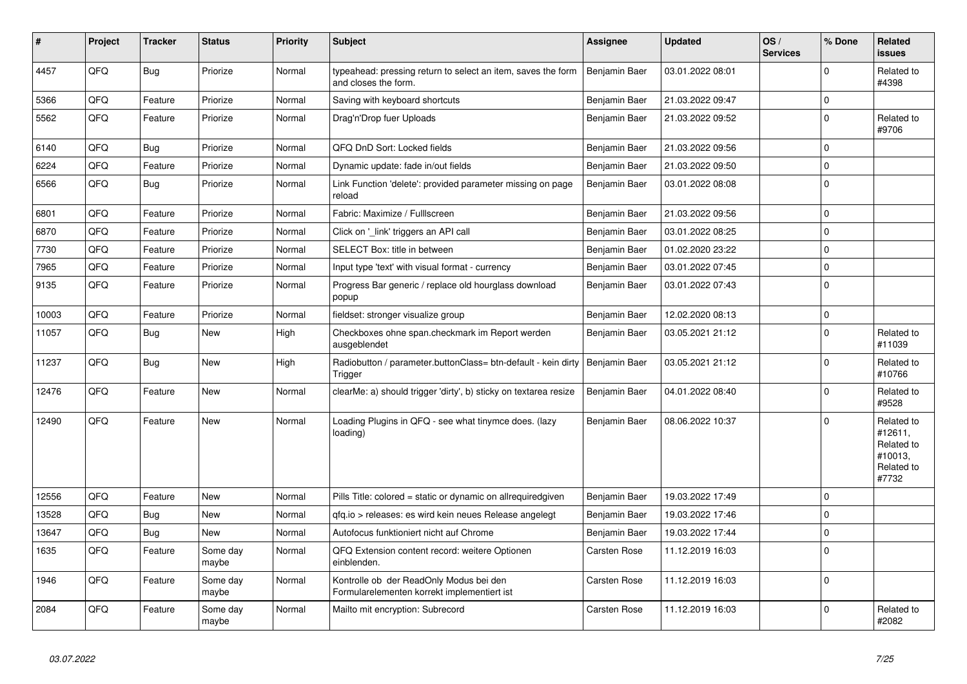| #     | Project | Tracker    | <b>Status</b>     | <b>Priority</b> | <b>Subject</b>                                                                         | <b>Assignee</b>     | <b>Updated</b>   | OS/<br><b>Services</b> | % Done      | Related<br>issues                                                     |
|-------|---------|------------|-------------------|-----------------|----------------------------------------------------------------------------------------|---------------------|------------------|------------------------|-------------|-----------------------------------------------------------------------|
| 4457  | QFQ     | Bug        | Priorize          | Normal          | typeahead: pressing return to select an item, saves the form<br>and closes the form.   | Benjamin Baer       | 03.01.2022 08:01 |                        | $\Omega$    | Related to<br>#4398                                                   |
| 5366  | QFQ     | Feature    | Priorize          | Normal          | Saving with keyboard shortcuts                                                         | Benjamin Baer       | 21.03.2022 09:47 |                        | $\mathbf 0$ |                                                                       |
| 5562  | QFQ     | Feature    | Priorize          | Normal          | Drag'n'Drop fuer Uploads                                                               | Benjamin Baer       | 21.03.2022 09:52 |                        | $\Omega$    | Related to<br>#9706                                                   |
| 6140  | QFQ     | Bug        | Priorize          | Normal          | QFQ DnD Sort: Locked fields                                                            | Benjamin Baer       | 21.03.2022 09:56 |                        | $\Omega$    |                                                                       |
| 6224  | QFQ     | Feature    | Priorize          | Normal          | Dynamic update: fade in/out fields                                                     | Benjamin Baer       | 21.03.2022 09:50 |                        | $\Omega$    |                                                                       |
| 6566  | QFQ     | Bug        | Priorize          | Normal          | Link Function 'delete': provided parameter missing on page<br>reload                   | Benjamin Baer       | 03.01.2022 08:08 |                        | $\mathbf 0$ |                                                                       |
| 6801  | QFQ     | Feature    | Priorize          | Normal          | Fabric: Maximize / FullIscreen                                                         | Benjamin Baer       | 21.03.2022 09:56 |                        | $\Omega$    |                                                                       |
| 6870  | QFQ     | Feature    | Priorize          | Normal          | Click on 'link' triggers an API call                                                   | Benjamin Baer       | 03.01.2022 08:25 |                        | $\mathbf 0$ |                                                                       |
| 7730  | QFQ     | Feature    | Priorize          | Normal          | SELECT Box: title in between                                                           | Benjamin Baer       | 01.02.2020 23:22 |                        | $\mathbf 0$ |                                                                       |
| 7965  | QFQ     | Feature    | Priorize          | Normal          | Input type 'text' with visual format - currency                                        | Benjamin Baer       | 03.01.2022 07:45 |                        | $\Omega$    |                                                                       |
| 9135  | QFQ     | Feature    | Priorize          | Normal          | Progress Bar generic / replace old hourglass download<br>popup                         | Benjamin Baer       | 03.01.2022 07:43 |                        | $\Omega$    |                                                                       |
| 10003 | QFQ     | Feature    | Priorize          | Normal          | fieldset: stronger visualize group                                                     | Benjamin Baer       | 12.02.2020 08:13 |                        | $\mathbf 0$ |                                                                       |
| 11057 | QFQ     | Bug        | New               | High            | Checkboxes ohne span.checkmark im Report werden<br>ausgeblendet                        | Benjamin Baer       | 03.05.2021 21:12 |                        | $\Omega$    | Related to<br>#11039                                                  |
| 11237 | QFQ     | <b>Bug</b> | <b>New</b>        | High            | Radiobutton / parameter.buttonClass= btn-default - kein dirty<br>Trigger               | Benjamin Baer       | 03.05.2021 21:12 |                        | $\Omega$    | Related to<br>#10766                                                  |
| 12476 | QFQ     | Feature    | <b>New</b>        | Normal          | clearMe: a) should trigger 'dirty', b) sticky on textarea resize                       | Benjamin Baer       | 04.01.2022 08:40 |                        | $\Omega$    | Related to<br>#9528                                                   |
| 12490 | QFQ     | Feature    | <b>New</b>        | Normal          | Loading Plugins in QFQ - see what tinymce does. (lazy<br>loading)                      | Benjamin Baer       | 08.06.2022 10:37 |                        | $\Omega$    | Related to<br>#12611,<br>Related to<br>#10013,<br>Related to<br>#7732 |
| 12556 | QFQ     | Feature    | New               | Normal          | Pills Title: colored = static or dynamic on allrequiredgiven                           | Benjamin Baer       | 19.03.2022 17:49 |                        | $\Omega$    |                                                                       |
| 13528 | QFQ     | Bug        | <b>New</b>        | Normal          | gfg.io > releases: es wird kein neues Release angelegt                                 | Benjamin Baer       | 19.03.2022 17:46 |                        | $\Omega$    |                                                                       |
| 13647 | QFQ     | Bug        | <b>New</b>        | Normal          | Autofocus funktioniert nicht auf Chrome                                                | Benjamin Baer       | 19.03.2022 17:44 |                        | $\Omega$    |                                                                       |
| 1635  | QFQ     | Feature    | Some day<br>maybe | Normal          | QFQ Extension content record: weitere Optionen<br>einblenden.                          | <b>Carsten Rose</b> | 11.12.2019 16:03 |                        | $\Omega$    |                                                                       |
| 1946  | QFQ     | Feature    | Some day<br>maybe | Normal          | Kontrolle ob der ReadOnly Modus bei den<br>Formularelementen korrekt implementiert ist | <b>Carsten Rose</b> | 11.12.2019 16:03 |                        | $\Omega$    |                                                                       |
| 2084  | QFQ     | Feature    | Some day<br>maybe | Normal          | Mailto mit encryption: Subrecord                                                       | <b>Carsten Rose</b> | 11.12.2019 16:03 |                        | $\Omega$    | Related to<br>#2082                                                   |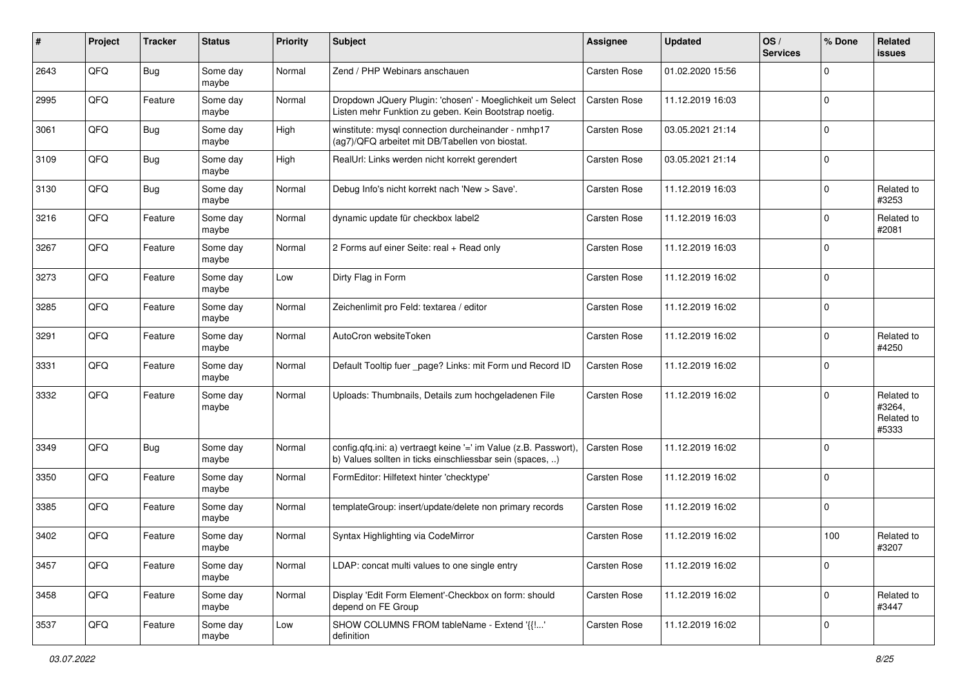| #    | Project | <b>Tracker</b> | <b>Status</b>     | <b>Priority</b> | Subject                                                                                                                       | <b>Assignee</b>     | <b>Updated</b>   | OS/<br><b>Services</b> | % Done      | Related<br>issues                           |
|------|---------|----------------|-------------------|-----------------|-------------------------------------------------------------------------------------------------------------------------------|---------------------|------------------|------------------------|-------------|---------------------------------------------|
| 2643 | QFQ     | Bug            | Some day<br>maybe | Normal          | Zend / PHP Webinars anschauen                                                                                                 | <b>Carsten Rose</b> | 01.02.2020 15:56 |                        | $\mathbf 0$ |                                             |
| 2995 | QFQ     | Feature        | Some day<br>maybe | Normal          | Dropdown JQuery Plugin: 'chosen' - Moeglichkeit um Select<br>Listen mehr Funktion zu geben. Kein Bootstrap noetig.            | <b>Carsten Rose</b> | 11.12.2019 16:03 |                        | $\mathbf 0$ |                                             |
| 3061 | QFQ     | <b>Bug</b>     | Some day<br>maybe | High            | winstitute: mysql connection durcheinander - nmhp17<br>(ag7)/QFQ arbeitet mit DB/Tabellen von biostat.                        | <b>Carsten Rose</b> | 03.05.2021 21:14 |                        | $\Omega$    |                                             |
| 3109 | QFQ     | Bug            | Some day<br>maybe | High            | RealUrl: Links werden nicht korrekt gerendert                                                                                 | Carsten Rose        | 03.05.2021 21:14 |                        | $\mathbf 0$ |                                             |
| 3130 | QFQ     | <b>Bug</b>     | Some day<br>maybe | Normal          | Debug Info's nicht korrekt nach 'New > Save'.                                                                                 | <b>Carsten Rose</b> | 11.12.2019 16:03 |                        | $\Omega$    | Related to<br>#3253                         |
| 3216 | QFQ     | Feature        | Some day<br>maybe | Normal          | dynamic update für checkbox label2                                                                                            | Carsten Rose        | 11.12.2019 16:03 |                        | $\Omega$    | Related to<br>#2081                         |
| 3267 | QFQ     | Feature        | Some day<br>maybe | Normal          | 2 Forms auf einer Seite: real + Read only                                                                                     | Carsten Rose        | 11.12.2019 16:03 |                        | $\Omega$    |                                             |
| 3273 | QFQ     | Feature        | Some day<br>maybe | Low             | Dirty Flag in Form                                                                                                            | Carsten Rose        | 11.12.2019 16:02 |                        | 0           |                                             |
| 3285 | QFQ     | Feature        | Some day<br>maybe | Normal          | Zeichenlimit pro Feld: textarea / editor                                                                                      | Carsten Rose        | 11.12.2019 16:02 |                        | 0           |                                             |
| 3291 | QFQ     | Feature        | Some day<br>maybe | Normal          | AutoCron websiteToken                                                                                                         | <b>Carsten Rose</b> | 11.12.2019 16:02 |                        | 0           | Related to<br>#4250                         |
| 3331 | QFQ     | Feature        | Some day<br>maybe | Normal          | Default Tooltip fuer _page? Links: mit Form und Record ID                                                                     | <b>Carsten Rose</b> | 11.12.2019 16:02 |                        | $\mathbf 0$ |                                             |
| 3332 | QFQ     | Feature        | Some day<br>maybe | Normal          | Uploads: Thumbnails, Details zum hochgeladenen File                                                                           | <b>Carsten Rose</b> | 11.12.2019 16:02 |                        | $\Omega$    | Related to<br>#3264,<br>Related to<br>#5333 |
| 3349 | QFQ     | Bug            | Some day<br>maybe | Normal          | config.qfq.ini: a) vertraegt keine '=' im Value (z.B. Passwort),<br>b) Values sollten in ticks einschliessbar sein (spaces, ) | Carsten Rose        | 11.12.2019 16:02 |                        | $\Omega$    |                                             |
| 3350 | QFQ     | Feature        | Some day<br>maybe | Normal          | FormEditor: Hilfetext hinter 'checktype'                                                                                      | Carsten Rose        | 11.12.2019 16:02 |                        | $\mathbf 0$ |                                             |
| 3385 | QFQ     | Feature        | Some day<br>maybe | Normal          | templateGroup: insert/update/delete non primary records                                                                       | Carsten Rose        | 11.12.2019 16:02 |                        | $\mathbf 0$ |                                             |
| 3402 | QFQ     | Feature        | Some day<br>maybe | Normal          | Syntax Highlighting via CodeMirror                                                                                            | Carsten Rose        | 11.12.2019 16:02 |                        | 100         | Related to<br>#3207                         |
| 3457 | QFG     | Feature        | Some day<br>maybe | Normal          | LDAP: concat multi values to one single entry                                                                                 | Carsten Rose        | 11.12.2019 16:02 |                        | 0           |                                             |
| 3458 | QFG     | Feature        | Some day<br>maybe | Normal          | Display 'Edit Form Element'-Checkbox on form: should<br>depend on FE Group                                                    | Carsten Rose        | 11.12.2019 16:02 |                        | 0           | Related to<br>#3447                         |
| 3537 | QFQ     | Feature        | Some day<br>maybe | Low             | SHOW COLUMNS FROM tableName - Extend '{{!'<br>definition                                                                      | Carsten Rose        | 11.12.2019 16:02 |                        | 0           |                                             |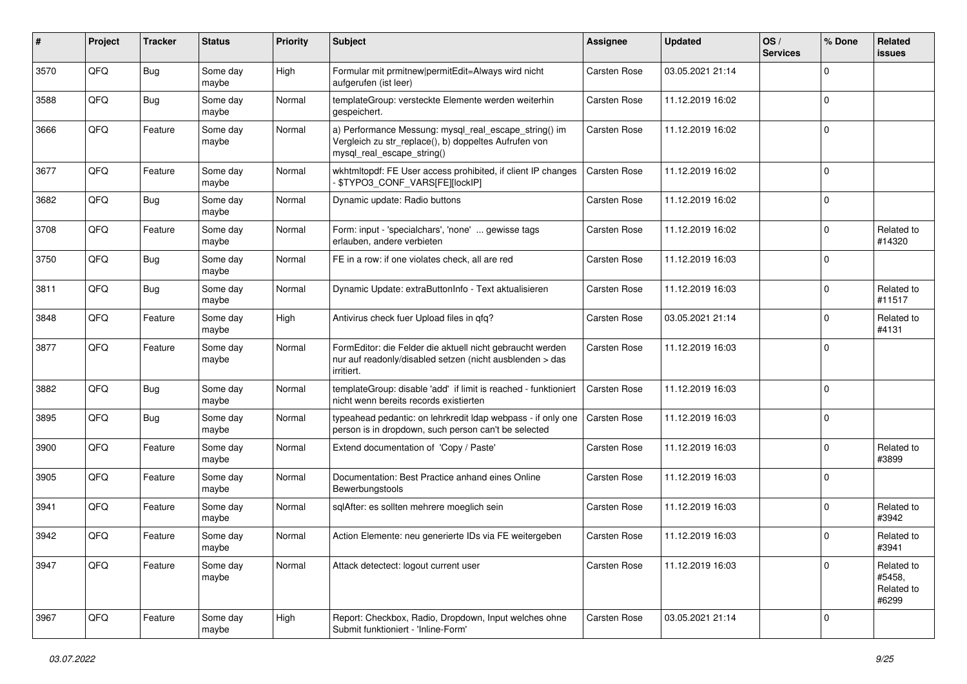| ∦    | Project | <b>Tracker</b> | <b>Status</b>     | <b>Priority</b> | Subject                                                                                                                                      | <b>Assignee</b>     | <b>Updated</b>   | OS/<br><b>Services</b> | % Done      | Related<br>issues                           |
|------|---------|----------------|-------------------|-----------------|----------------------------------------------------------------------------------------------------------------------------------------------|---------------------|------------------|------------------------|-------------|---------------------------------------------|
| 3570 | QFQ     | Bug            | Some day<br>maybe | High            | Formular mit prmitnew permitEdit=Always wird nicht<br>aufgerufen (ist leer)                                                                  | Carsten Rose        | 03.05.2021 21:14 |                        | $\Omega$    |                                             |
| 3588 | QFQ     | Bug            | Some day<br>maybe | Normal          | templateGroup: versteckte Elemente werden weiterhin<br>gespeichert.                                                                          | <b>Carsten Rose</b> | 11.12.2019 16:02 |                        | $\Omega$    |                                             |
| 3666 | QFQ     | Feature        | Some day<br>maybe | Normal          | a) Performance Messung: mysql_real_escape_string() im<br>Vergleich zu str_replace(), b) doppeltes Aufrufen von<br>mysql_real_escape_string() | <b>Carsten Rose</b> | 11.12.2019 16:02 |                        | $\Omega$    |                                             |
| 3677 | QFQ     | Feature        | Some day<br>maybe | Normal          | wkhtmltopdf: FE User access prohibited, if client IP changes<br>\$TYPO3_CONF_VARS[FE][lockIP]                                                | Carsten Rose        | 11.12.2019 16:02 |                        | $\Omega$    |                                             |
| 3682 | QFQ     | <b>Bug</b>     | Some day<br>maybe | Normal          | Dynamic update: Radio buttons                                                                                                                | <b>Carsten Rose</b> | 11.12.2019 16:02 |                        | $\mathbf 0$ |                                             |
| 3708 | QFQ     | Feature        | Some day<br>maybe | Normal          | Form: input - 'specialchars', 'none'  gewisse tags<br>erlauben, andere verbieten                                                             | <b>Carsten Rose</b> | 11.12.2019 16:02 |                        | $\Omega$    | Related to<br>#14320                        |
| 3750 | QFQ     | Bug            | Some day<br>maybe | Normal          | FE in a row: if one violates check, all are red                                                                                              | <b>Carsten Rose</b> | 11.12.2019 16:03 |                        | $\Omega$    |                                             |
| 3811 | QFQ     | Bug            | Some day<br>maybe | Normal          | Dynamic Update: extraButtonInfo - Text aktualisieren                                                                                         | <b>Carsten Rose</b> | 11.12.2019 16:03 |                        | $\Omega$    | Related to<br>#11517                        |
| 3848 | QFQ     | Feature        | Some day<br>maybe | High            | Antivirus check fuer Upload files in qfq?                                                                                                    | <b>Carsten Rose</b> | 03.05.2021 21:14 |                        | $\Omega$    | Related to<br>#4131                         |
| 3877 | QFQ     | Feature        | Some day<br>maybe | Normal          | FormEditor: die Felder die aktuell nicht gebraucht werden<br>nur auf readonly/disabled setzen (nicht ausblenden > das<br>irritiert.          | <b>Carsten Rose</b> | 11.12.2019 16:03 |                        | $\mathbf 0$ |                                             |
| 3882 | QFQ     | Bug            | Some day<br>maybe | Normal          | templateGroup: disable 'add' if limit is reached - funktioniert<br>nicht wenn bereits records existierten                                    | <b>Carsten Rose</b> | 11.12.2019 16:03 |                        | $\mathbf 0$ |                                             |
| 3895 | QFQ     | Bug            | Some day<br>maybe | Normal          | typeahead pedantic: on lehrkredit Idap webpass - if only one<br>person is in dropdown, such person can't be selected                         | <b>Carsten Rose</b> | 11.12.2019 16:03 |                        | $\Omega$    |                                             |
| 3900 | QFQ     | Feature        | Some day<br>maybe | Normal          | Extend documentation of 'Copy / Paste'                                                                                                       | <b>Carsten Rose</b> | 11.12.2019 16:03 |                        | $\Omega$    | Related to<br>#3899                         |
| 3905 | QFQ     | Feature        | Some day<br>maybe | Normal          | Documentation: Best Practice anhand eines Online<br>Bewerbungstools                                                                          | <b>Carsten Rose</b> | 11.12.2019 16:03 |                        | $\Omega$    |                                             |
| 3941 | QFQ     | Feature        | Some day<br>maybe | Normal          | sqlAfter: es sollten mehrere moeglich sein                                                                                                   | <b>Carsten Rose</b> | 11.12.2019 16:03 |                        | $\Omega$    | Related to<br>#3942                         |
| 3942 | QFQ     | Feature        | Some day<br>maybe | Normal          | Action Elemente: neu generierte IDs via FE weitergeben                                                                                       | <b>Carsten Rose</b> | 11.12.2019 16:03 |                        | $\Omega$    | Related to<br>#3941                         |
| 3947 | QFQ     | Feature        | Some day<br>maybe | Normal          | Attack detectect: logout current user                                                                                                        | Carsten Rose        | 11.12.2019 16:03 |                        | $\Omega$    | Related to<br>#5458,<br>Related to<br>#6299 |
| 3967 | QFQ     | Feature        | Some day<br>maybe | High            | Report: Checkbox, Radio, Dropdown, Input welches ohne<br>Submit funktioniert - 'Inline-Form'                                                 | Carsten Rose        | 03.05.2021 21:14 |                        | $\Omega$    |                                             |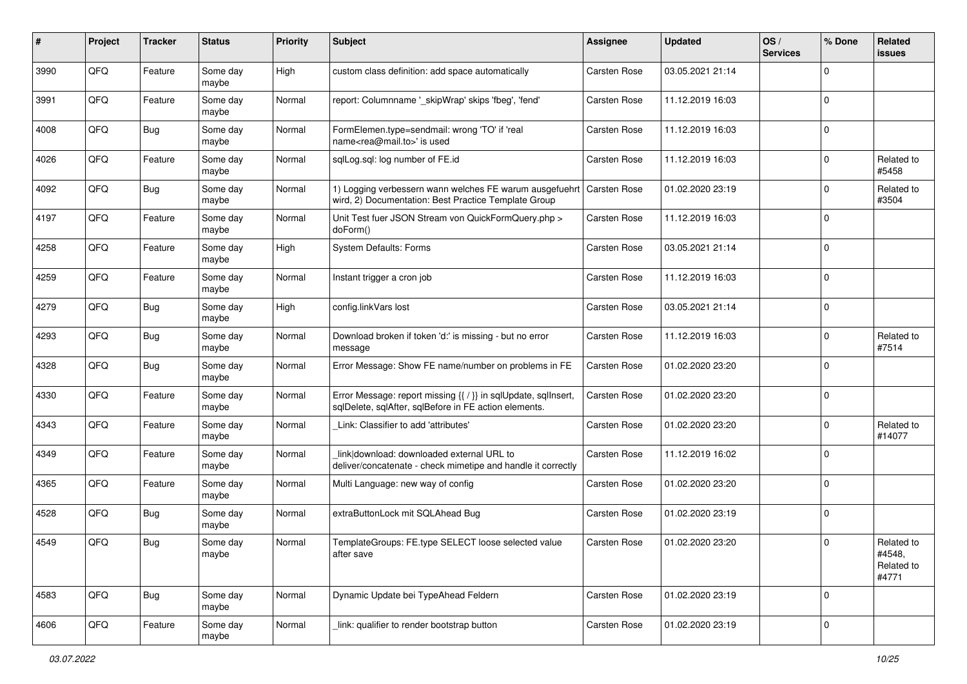| #    | Project | <b>Tracker</b> | <b>Status</b>     | <b>Priority</b> | <b>Subject</b>                                                                                                          | <b>Assignee</b>     | <b>Updated</b>   | OS/<br><b>Services</b> | % Done      | Related<br>issues                           |
|------|---------|----------------|-------------------|-----------------|-------------------------------------------------------------------------------------------------------------------------|---------------------|------------------|------------------------|-------------|---------------------------------------------|
| 3990 | QFQ     | Feature        | Some day<br>maybe | High            | custom class definition: add space automatically                                                                        | Carsten Rose        | 03.05.2021 21:14 |                        | $\Omega$    |                                             |
| 3991 | QFQ     | Feature        | Some day<br>maybe | Normal          | report: Columnname ' skipWrap' skips 'fbeg', 'fend'                                                                     | <b>Carsten Rose</b> | 11.12.2019 16:03 |                        | $\mathbf 0$ |                                             |
| 4008 | QFQ     | Bug            | Some day<br>maybe | Normal          | FormElemen.type=sendmail: wrong 'TO' if 'real<br>name <rea@mail.to>' is used</rea@mail.to>                              | <b>Carsten Rose</b> | 11.12.2019 16:03 |                        | $\Omega$    |                                             |
| 4026 | QFQ     | Feature        | Some day<br>maybe | Normal          | sqlLog.sql: log number of FE.id                                                                                         | Carsten Rose        | 11.12.2019 16:03 |                        | $\mathbf 0$ | Related to<br>#5458                         |
| 4092 | QFQ     | <b>Bug</b>     | Some day<br>maybe | Normal          | 1) Logging verbessern wann welches FE warum ausgefuehrt<br>wird, 2) Documentation: Best Practice Template Group         | <b>Carsten Rose</b> | 01.02.2020 23:19 |                        | $\Omega$    | Related to<br>#3504                         |
| 4197 | QFQ     | Feature        | Some day<br>maybe | Normal          | Unit Test fuer JSON Stream von QuickFormQuery.php ><br>doForm()                                                         | Carsten Rose        | 11.12.2019 16:03 |                        | $\Omega$    |                                             |
| 4258 | QFQ     | Feature        | Some day<br>maybe | High            | System Defaults: Forms                                                                                                  | Carsten Rose        | 03.05.2021 21:14 |                        | $\Omega$    |                                             |
| 4259 | QFQ     | Feature        | Some day<br>maybe | Normal          | Instant trigger a cron job                                                                                              | Carsten Rose        | 11.12.2019 16:03 |                        | 0           |                                             |
| 4279 | QFQ     | Bug            | Some day<br>maybe | High            | config.linkVars lost                                                                                                    | Carsten Rose        | 03.05.2021 21:14 |                        | 0           |                                             |
| 4293 | QFQ     | <b>Bug</b>     | Some day<br>maybe | Normal          | Download broken if token 'd:' is missing - but no error<br>message                                                      | Carsten Rose        | 11.12.2019 16:03 |                        | 0           | Related to<br>#7514                         |
| 4328 | QFQ     | Bug            | Some day<br>maybe | Normal          | Error Message: Show FE name/number on problems in FE                                                                    | Carsten Rose        | 01.02.2020 23:20 |                        | $\Omega$    |                                             |
| 4330 | QFQ     | Feature        | Some day<br>maybe | Normal          | Error Message: report missing {{ / }} in sqlUpdate, sqlInsert,<br>sqlDelete, sqlAfter, sqlBefore in FE action elements. | <b>Carsten Rose</b> | 01.02.2020 23:20 |                        | $\mathbf 0$ |                                             |
| 4343 | QFQ     | Feature        | Some day<br>maybe | Normal          | Link: Classifier to add 'attributes'                                                                                    | Carsten Rose        | 01.02.2020 23:20 |                        | $\Omega$    | Related to<br>#14077                        |
| 4349 | QFQ     | Feature        | Some day<br>maybe | Normal          | link download: downloaded external URL to<br>deliver/concatenate - check mimetipe and handle it correctly               | Carsten Rose        | 11.12.2019 16:02 |                        | $\mathbf 0$ |                                             |
| 4365 | QFQ     | Feature        | Some day<br>maybe | Normal          | Multi Language: new way of config                                                                                       | Carsten Rose        | 01.02.2020 23:20 |                        | 0           |                                             |
| 4528 | QFQ     | Bug            | Some day<br>maybe | Normal          | extraButtonLock mit SQLAhead Bug                                                                                        | Carsten Rose        | 01.02.2020 23:19 |                        | 0           |                                             |
| 4549 | QFQ     | <b>Bug</b>     | Some day<br>maybe | Normal          | TemplateGroups: FE.type SELECT loose selected value<br>after save                                                       | <b>Carsten Rose</b> | 01.02.2020 23:20 |                        | 0           | Related to<br>#4548,<br>Related to<br>#4771 |
| 4583 | QFQ     | <b>Bug</b>     | Some day<br>maybe | Normal          | Dynamic Update bei TypeAhead Feldern                                                                                    | Carsten Rose        | 01.02.2020 23:19 |                        | 0           |                                             |
| 4606 | QFQ     | Feature        | Some day<br>maybe | Normal          | link: qualifier to render bootstrap button                                                                              | Carsten Rose        | 01.02.2020 23:19 |                        | 0           |                                             |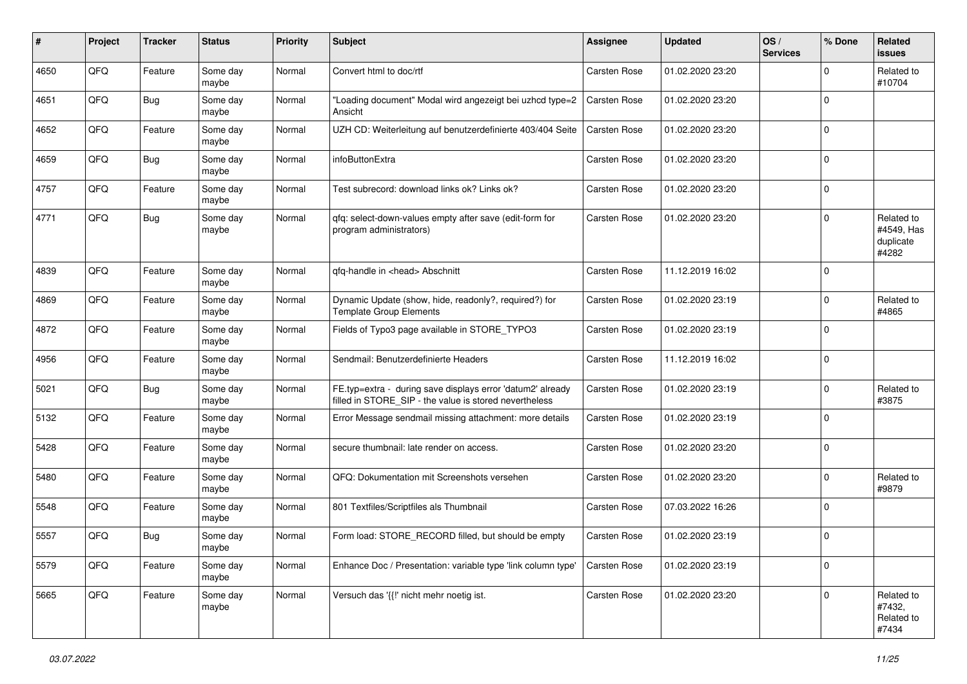| #    | Project | <b>Tracker</b> | <b>Status</b>     | <b>Priority</b> | Subject                                                                                                              | <b>Assignee</b>     | <b>Updated</b>   | OS/<br><b>Services</b> | % Done      | Related<br><b>issues</b>                       |
|------|---------|----------------|-------------------|-----------------|----------------------------------------------------------------------------------------------------------------------|---------------------|------------------|------------------------|-------------|------------------------------------------------|
| 4650 | QFQ     | Feature        | Some day<br>maybe | Normal          | Convert html to doc/rtf                                                                                              | <b>Carsten Rose</b> | 01.02.2020 23:20 |                        | $\Omega$    | Related to<br>#10704                           |
| 4651 | QFQ     | Bug            | Some day<br>maybe | Normal          | "Loading document" Modal wird angezeigt bei uzhcd type=2<br>Ansicht                                                  | <b>Carsten Rose</b> | 01.02.2020 23:20 |                        | $\mathbf 0$ |                                                |
| 4652 | QFQ     | Feature        | Some day<br>maybe | Normal          | UZH CD: Weiterleitung auf benutzerdefinierte 403/404 Seite                                                           | <b>Carsten Rose</b> | 01.02.2020 23:20 |                        | $\Omega$    |                                                |
| 4659 | QFQ     | Bug            | Some day<br>maybe | Normal          | infoButtonExtra                                                                                                      | Carsten Rose        | 01.02.2020 23:20 |                        | $\Omega$    |                                                |
| 4757 | QFQ     | Feature        | Some day<br>maybe | Normal          | Test subrecord: download links ok? Links ok?                                                                         | Carsten Rose        | 01.02.2020 23:20 |                        | $\mathbf 0$ |                                                |
| 4771 | QFQ     | Bug            | Some day<br>maybe | Normal          | qfq: select-down-values empty after save (edit-form for<br>program administrators)                                   | Carsten Rose        | 01.02.2020 23:20 |                        | $\Omega$    | Related to<br>#4549, Has<br>duplicate<br>#4282 |
| 4839 | QFQ     | Feature        | Some day<br>maybe | Normal          | qfq-handle in <head> Abschnitt</head>                                                                                | Carsten Rose        | 11.12.2019 16:02 |                        | $\mathbf 0$ |                                                |
| 4869 | QFQ     | Feature        | Some day<br>maybe | Normal          | Dynamic Update (show, hide, readonly?, required?) for<br><b>Template Group Elements</b>                              | Carsten Rose        | 01.02.2020 23:19 |                        | $\mathbf 0$ | Related to<br>#4865                            |
| 4872 | QFQ     | Feature        | Some day<br>maybe | Normal          | Fields of Typo3 page available in STORE TYPO3                                                                        | Carsten Rose        | 01.02.2020 23:19 |                        | $\Omega$    |                                                |
| 4956 | QFQ     | Feature        | Some day<br>maybe | Normal          | Sendmail: Benutzerdefinierte Headers                                                                                 | Carsten Rose        | 11.12.2019 16:02 |                        | $\mathbf 0$ |                                                |
| 5021 | QFQ     | Bug            | Some day<br>maybe | Normal          | FE.typ=extra - during save displays error 'datum2' already<br>filled in STORE_SIP - the value is stored nevertheless | Carsten Rose        | 01.02.2020 23:19 |                        | $\Omega$    | Related to<br>#3875                            |
| 5132 | QFQ     | Feature        | Some day<br>maybe | Normal          | Error Message sendmail missing attachment: more details                                                              | <b>Carsten Rose</b> | 01.02.2020 23:19 |                        | $\Omega$    |                                                |
| 5428 | QFQ     | Feature        | Some day<br>maybe | Normal          | secure thumbnail: late render on access.                                                                             | Carsten Rose        | 01.02.2020 23:20 |                        | $\Omega$    |                                                |
| 5480 | QFQ     | Feature        | Some day<br>maybe | Normal          | QFQ: Dokumentation mit Screenshots versehen                                                                          | Carsten Rose        | 01.02.2020 23:20 |                        | $\mathbf 0$ | Related to<br>#9879                            |
| 5548 | QFQ     | Feature        | Some day<br>maybe | Normal          | 801 Textfiles/Scriptfiles als Thumbnail                                                                              | Carsten Rose        | 07.03.2022 16:26 |                        | $\mathbf 0$ |                                                |
| 5557 | QFQ     | Bug            | Some day<br>maybe | Normal          | Form load: STORE_RECORD filled, but should be empty                                                                  | Carsten Rose        | 01.02.2020 23:19 |                        | $\Omega$    |                                                |
| 5579 | QFG     | Feature        | Some day<br>maybe | Normal          | Enhance Doc / Presentation: variable type 'link column type'                                                         | Carsten Rose        | 01.02.2020 23:19 |                        | 0           |                                                |
| 5665 | QFQ     | Feature        | Some day<br>maybe | Normal          | Versuch das '{{!' nicht mehr noetig ist.                                                                             | Carsten Rose        | 01.02.2020 23:20 |                        | $\mathbf 0$ | Related to<br>#7432,<br>Related to<br>#7434    |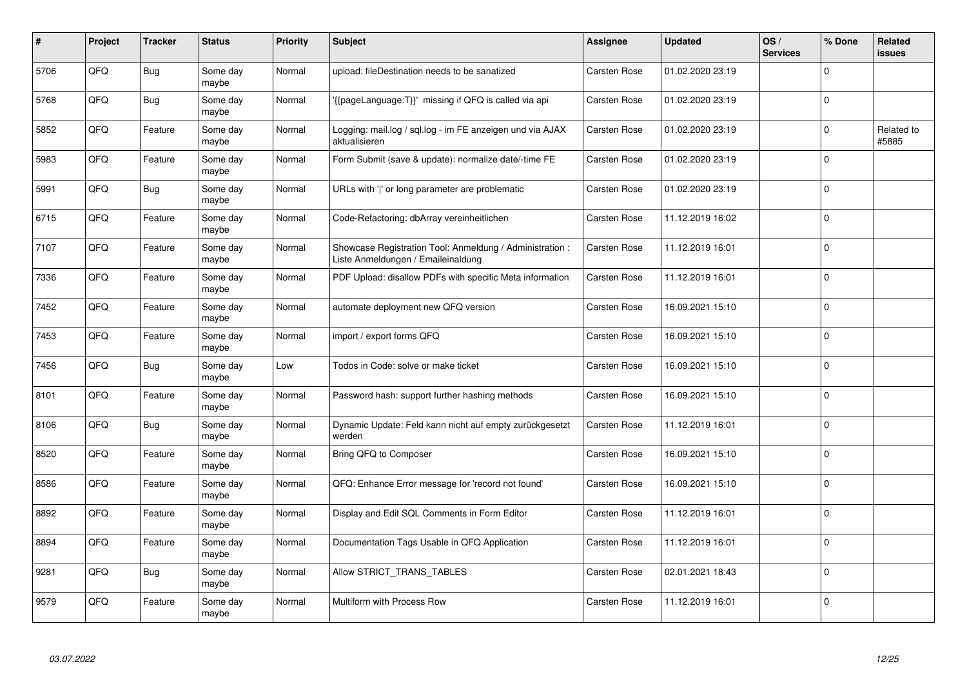| #    | Project | <b>Tracker</b> | <b>Status</b>     | <b>Priority</b> | <b>Subject</b>                                                                                 | <b>Assignee</b>     | <b>Updated</b>   | OS/<br><b>Services</b> | % Done      | Related<br><b>issues</b> |
|------|---------|----------------|-------------------|-----------------|------------------------------------------------------------------------------------------------|---------------------|------------------|------------------------|-------------|--------------------------|
| 5706 | QFQ     | Bug            | Some day<br>maybe | Normal          | upload: fileDestination needs to be sanatized                                                  | <b>Carsten Rose</b> | 01.02.2020 23:19 |                        | $\Omega$    |                          |
| 5768 | QFQ     | <b>Bug</b>     | Some day<br>maybe | Normal          | {{pageLanguage:T}}' missing if QFQ is called via api                                           | <b>Carsten Rose</b> | 01.02.2020 23:19 |                        | $\Omega$    |                          |
| 5852 | QFQ     | Feature        | Some day<br>maybe | Normal          | Logging: mail.log / sql.log - im FE anzeigen und via AJAX<br>aktualisieren                     | <b>Carsten Rose</b> | 01.02.2020 23:19 |                        | $\mathbf 0$ | Related to<br>#5885      |
| 5983 | QFQ     | Feature        | Some day<br>maybe | Normal          | Form Submit (save & update): normalize date/-time FE                                           | <b>Carsten Rose</b> | 01.02.2020 23:19 |                        | $\Omega$    |                          |
| 5991 | QFQ     | Bug            | Some day<br>maybe | Normal          | URLs with 'I' or long parameter are problematic                                                | <b>Carsten Rose</b> | 01.02.2020 23:19 |                        | $\Omega$    |                          |
| 6715 | QFQ     | Feature        | Some day<br>maybe | Normal          | Code-Refactoring: dbArray vereinheitlichen                                                     | Carsten Rose        | 11.12.2019 16:02 |                        | $\mathbf 0$ |                          |
| 7107 | QFQ     | Feature        | Some day<br>maybe | Normal          | Showcase Registration Tool: Anmeldung / Administration :<br>Liste Anmeldungen / Emaileinaldung | <b>Carsten Rose</b> | 11.12.2019 16:01 |                        | $\Omega$    |                          |
| 7336 | QFQ     | Feature        | Some day<br>maybe | Normal          | PDF Upload: disallow PDFs with specific Meta information                                       | <b>Carsten Rose</b> | 11.12.2019 16:01 |                        | $\Omega$    |                          |
| 7452 | QFQ     | Feature        | Some day<br>maybe | Normal          | automate deployment new QFQ version                                                            | <b>Carsten Rose</b> | 16.09.2021 15:10 |                        | $\Omega$    |                          |
| 7453 | QFQ     | Feature        | Some day<br>maybe | Normal          | import / export forms QFQ                                                                      | <b>Carsten Rose</b> | 16.09.2021 15:10 |                        | 0           |                          |
| 7456 | QFQ     | <b>Bug</b>     | Some day<br>maybe | Low             | Todos in Code: solve or make ticket                                                            | Carsten Rose        | 16.09.2021 15:10 |                        | $\Omega$    |                          |
| 8101 | QFQ     | Feature        | Some day<br>maybe | Normal          | Password hash: support further hashing methods                                                 | <b>Carsten Rose</b> | 16.09.2021 15:10 |                        | $\Omega$    |                          |
| 8106 | QFQ     | Bug            | Some day<br>maybe | Normal          | Dynamic Update: Feld kann nicht auf empty zurückgesetzt<br>werden                              | <b>Carsten Rose</b> | 11.12.2019 16:01 |                        | $\mathbf 0$ |                          |
| 8520 | QFQ     | Feature        | Some day<br>maybe | Normal          | Bring QFQ to Composer                                                                          | Carsten Rose        | 16.09.2021 15:10 |                        | $\Omega$    |                          |
| 8586 | QFQ     | Feature        | Some day<br>maybe | Normal          | QFQ: Enhance Error message for 'record not found'                                              | <b>Carsten Rose</b> | 16.09.2021 15:10 |                        | $\Omega$    |                          |
| 8892 | QFQ     | Feature        | Some day<br>maybe | Normal          | Display and Edit SQL Comments in Form Editor                                                   | <b>Carsten Rose</b> | 11.12.2019 16:01 |                        | $\Omega$    |                          |
| 8894 | QFQ     | Feature        | Some day<br>maybe | Normal          | Documentation Tags Usable in QFQ Application                                                   | Carsten Rose        | 11.12.2019 16:01 |                        | $\Omega$    |                          |
| 9281 | QFQ     | Bug            | Some day<br>maybe | Normal          | Allow STRICT_TRANS_TABLES                                                                      | Carsten Rose        | 02.01.2021 18:43 |                        | $\Omega$    |                          |
| 9579 | QFQ     | Feature        | Some day<br>maybe | Normal          | Multiform with Process Row                                                                     | <b>Carsten Rose</b> | 11.12.2019 16:01 |                        | $\Omega$    |                          |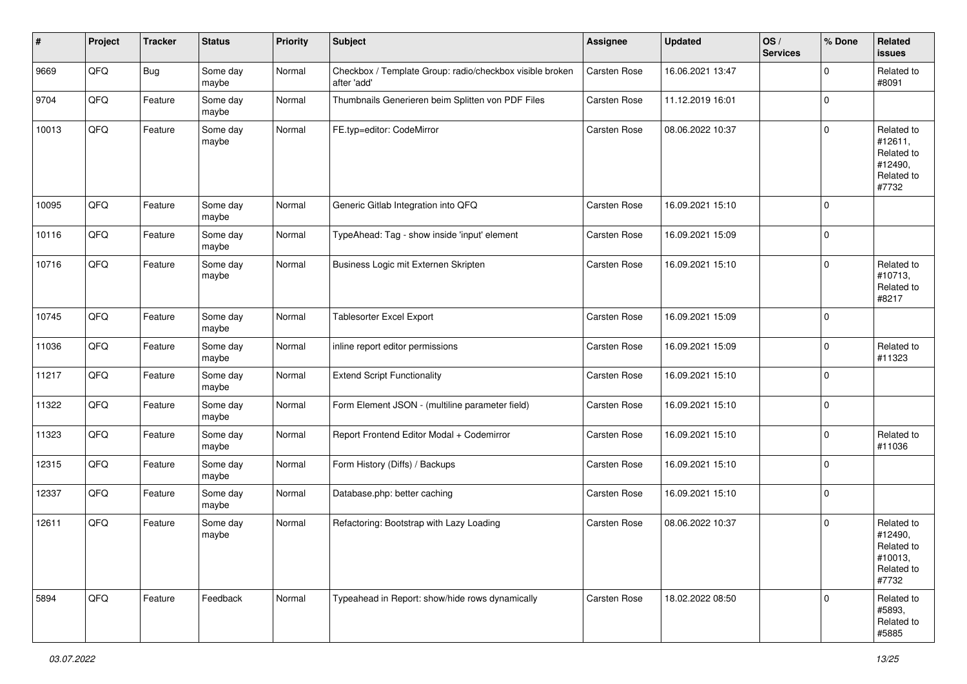| #     | Project | <b>Tracker</b> | <b>Status</b>     | <b>Priority</b> | <b>Subject</b>                                                          | Assignee            | <b>Updated</b>   | OS/<br><b>Services</b> | % Done      | Related<br><b>issues</b>                                              |
|-------|---------|----------------|-------------------|-----------------|-------------------------------------------------------------------------|---------------------|------------------|------------------------|-------------|-----------------------------------------------------------------------|
| 9669  | QFQ     | <b>Bug</b>     | Some day<br>maybe | Normal          | Checkbox / Template Group: radio/checkbox visible broken<br>after 'add' | Carsten Rose        | 16.06.2021 13:47 |                        | $\Omega$    | Related to<br>#8091                                                   |
| 9704  | QFQ     | Feature        | Some day<br>maybe | Normal          | Thumbnails Generieren beim Splitten von PDF Files                       | Carsten Rose        | 11.12.2019 16:01 |                        | 0           |                                                                       |
| 10013 | QFQ     | Feature        | Some day<br>maybe | Normal          | FE.typ=editor: CodeMirror                                               | Carsten Rose        | 08.06.2022 10:37 |                        | $\mathbf 0$ | Related to<br>#12611,<br>Related to<br>#12490,<br>Related to<br>#7732 |
| 10095 | QFQ     | Feature        | Some day<br>maybe | Normal          | Generic Gitlab Integration into QFQ                                     | Carsten Rose        | 16.09.2021 15:10 |                        | $\Omega$    |                                                                       |
| 10116 | QFQ     | Feature        | Some day<br>maybe | Normal          | TypeAhead: Tag - show inside 'input' element                            | Carsten Rose        | 16.09.2021 15:09 |                        | 0           |                                                                       |
| 10716 | QFQ     | Feature        | Some day<br>maybe | Normal          | Business Logic mit Externen Skripten                                    | <b>Carsten Rose</b> | 16.09.2021 15:10 |                        | $\mathbf 0$ | Related to<br>#10713,<br>Related to<br>#8217                          |
| 10745 | QFQ     | Feature        | Some day<br>maybe | Normal          | Tablesorter Excel Export                                                | Carsten Rose        | 16.09.2021 15:09 |                        | $\Omega$    |                                                                       |
| 11036 | QFQ     | Feature        | Some day<br>maybe | Normal          | inline report editor permissions                                        | Carsten Rose        | 16.09.2021 15:09 |                        | $\mathbf 0$ | Related to<br>#11323                                                  |
| 11217 | QFQ     | Feature        | Some day<br>maybe | Normal          | <b>Extend Script Functionality</b>                                      | Carsten Rose        | 16.09.2021 15:10 |                        | 0           |                                                                       |
| 11322 | QFQ     | Feature        | Some day<br>maybe | Normal          | Form Element JSON - (multiline parameter field)                         | Carsten Rose        | 16.09.2021 15:10 |                        | $\Omega$    |                                                                       |
| 11323 | QFQ     | Feature        | Some day<br>maybe | Normal          | Report Frontend Editor Modal + Codemirror                               | Carsten Rose        | 16.09.2021 15:10 |                        | $\mathbf 0$ | Related to<br>#11036                                                  |
| 12315 | QFQ     | Feature        | Some day<br>maybe | Normal          | Form History (Diffs) / Backups                                          | Carsten Rose        | 16.09.2021 15:10 |                        | 0           |                                                                       |
| 12337 | QFQ     | Feature        | Some day<br>maybe | Normal          | Database.php: better caching                                            | Carsten Rose        | 16.09.2021 15:10 |                        | $\mathbf 0$ |                                                                       |
| 12611 | QFQ     | Feature        | Some day<br>maybe | Normal          | Refactoring: Bootstrap with Lazy Loading                                | Carsten Rose        | 08.06.2022 10:37 |                        | $\mathbf 0$ | Related to<br>#12490,<br>Related to<br>#10013,<br>Related to<br>#7732 |
| 5894  | QFQ     | Feature        | Feedback          | Normal          | Typeahead in Report: show/hide rows dynamically                         | Carsten Rose        | 18.02.2022 08:50 |                        | $\Omega$    | Related to<br>#5893,<br>Related to<br>#5885                           |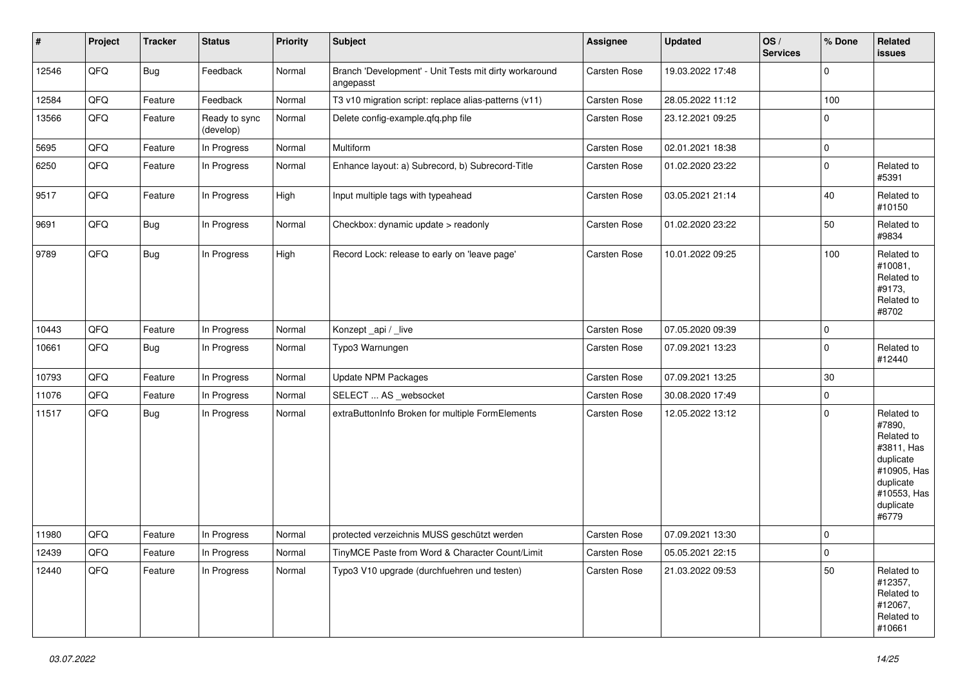| $\vert$ # | Project | <b>Tracker</b> | <b>Status</b>              | <b>Priority</b> | <b>Subject</b>                                                      | Assignee            | <b>Updated</b>   | OS/<br><b>Services</b> | % Done      | Related<br><b>issues</b>                                                                                                       |
|-----------|---------|----------------|----------------------------|-----------------|---------------------------------------------------------------------|---------------------|------------------|------------------------|-------------|--------------------------------------------------------------------------------------------------------------------------------|
| 12546     | QFQ     | Bug            | Feedback                   | Normal          | Branch 'Development' - Unit Tests mit dirty workaround<br>angepasst | Carsten Rose        | 19.03.2022 17:48 |                        | $\mathbf 0$ |                                                                                                                                |
| 12584     | QFQ     | Feature        | Feedback                   | Normal          | T3 v10 migration script: replace alias-patterns (v11)               | Carsten Rose        | 28.05.2022 11:12 |                        | 100         |                                                                                                                                |
| 13566     | QFQ     | Feature        | Ready to sync<br>(develop) | Normal          | Delete config-example.qfq.php file                                  | Carsten Rose        | 23.12.2021 09:25 |                        | $\mathbf 0$ |                                                                                                                                |
| 5695      | QFQ     | Feature        | In Progress                | Normal          | Multiform                                                           | Carsten Rose        | 02.01.2021 18:38 |                        | $\pmb{0}$   |                                                                                                                                |
| 6250      | QFQ     | Feature        | In Progress                | Normal          | Enhance layout: a) Subrecord, b) Subrecord-Title                    | Carsten Rose        | 01.02.2020 23:22 |                        | $\Omega$    | Related to<br>#5391                                                                                                            |
| 9517      | QFQ     | Feature        | In Progress                | High            | Input multiple tags with typeahead                                  | Carsten Rose        | 03.05.2021 21:14 |                        | 40          | Related to<br>#10150                                                                                                           |
| 9691      | QFQ     | Bug            | In Progress                | Normal          | Checkbox: dynamic update > readonly                                 | <b>Carsten Rose</b> | 01.02.2020 23:22 |                        | 50          | Related to<br>#9834                                                                                                            |
| 9789      | QFQ     | Bug            | In Progress                | High            | Record Lock: release to early on 'leave page'                       | Carsten Rose        | 10.01.2022 09:25 |                        | 100         | Related to<br>#10081,<br>Related to<br>#9173,<br>Related to<br>#8702                                                           |
| 10443     | QFQ     | Feature        | In Progress                | Normal          | Konzept_api / _live                                                 | Carsten Rose        | 07.05.2020 09:39 |                        | $\mathbf 0$ |                                                                                                                                |
| 10661     | QFQ     | Bug            | In Progress                | Normal          | Typo3 Warnungen                                                     | Carsten Rose        | 07.09.2021 13:23 |                        | $\mathbf 0$ | Related to<br>#12440                                                                                                           |
| 10793     | QFQ     | Feature        | In Progress                | Normal          | <b>Update NPM Packages</b>                                          | Carsten Rose        | 07.09.2021 13:25 |                        | 30          |                                                                                                                                |
| 11076     | QFQ     | Feature        | In Progress                | Normal          | SELECT  AS _websocket                                               | Carsten Rose        | 30.08.2020 17:49 |                        | $\mathbf 0$ |                                                                                                                                |
| 11517     | QFQ     | Bug            | In Progress                | Normal          | extraButtonInfo Broken for multiple FormElements                    | Carsten Rose        | 12.05.2022 13:12 |                        | $\mathbf 0$ | Related to<br>#7890,<br>Related to<br>#3811, Has<br>duplicate<br>#10905, Has<br>duplicate<br>#10553, Has<br>duplicate<br>#6779 |
| 11980     | QFQ     | Feature        | In Progress                | Normal          | protected verzeichnis MUSS geschützt werden                         | Carsten Rose        | 07.09.2021 13:30 |                        | $\pmb{0}$   |                                                                                                                                |
| 12439     | QFQ     | Feature        | In Progress                | Normal          | TinyMCE Paste from Word & Character Count/Limit                     | Carsten Rose        | 05.05.2021 22:15 |                        | $\mathbf 0$ |                                                                                                                                |
| 12440     | QFQ     | Feature        | In Progress                | Normal          | Typo3 V10 upgrade (durchfuehren und testen)                         | Carsten Rose        | 21.03.2022 09:53 |                        | 50          | Related to<br>#12357,<br>Related to<br>#12067,<br>Related to<br>#10661                                                         |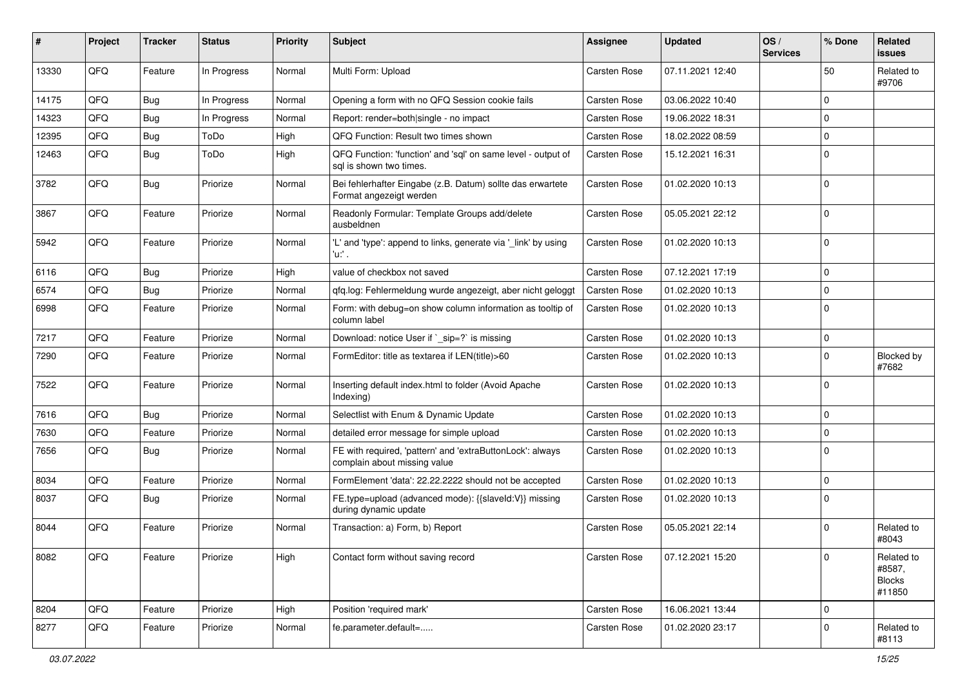| ∦     | Project | <b>Tracker</b> | <b>Status</b> | <b>Priority</b> | Subject                                                                                   | <b>Assignee</b>     | <b>Updated</b>   | OS/<br><b>Services</b> | % Done      | Related<br>issues                               |
|-------|---------|----------------|---------------|-----------------|-------------------------------------------------------------------------------------------|---------------------|------------------|------------------------|-------------|-------------------------------------------------|
| 13330 | QFQ     | Feature        | In Progress   | Normal          | Multi Form: Upload                                                                        | <b>Carsten Rose</b> | 07.11.2021 12:40 |                        | 50          | Related to<br>#9706                             |
| 14175 | QFQ     | Bug            | In Progress   | Normal          | Opening a form with no QFQ Session cookie fails                                           | <b>Carsten Rose</b> | 03.06.2022 10:40 |                        | $\Omega$    |                                                 |
| 14323 | QFQ     | Bug            | In Progress   | Normal          | Report: render=both single - no impact                                                    | Carsten Rose        | 19.06.2022 18:31 |                        | $\Omega$    |                                                 |
| 12395 | QFQ     | <b>Bug</b>     | ToDo          | High            | QFQ Function: Result two times shown                                                      | <b>Carsten Rose</b> | 18.02.2022 08:59 |                        | 0           |                                                 |
| 12463 | QFQ     | Bug            | ToDo          | High            | QFQ Function: 'function' and 'sql' on same level - output of<br>sal is shown two times.   | <b>Carsten Rose</b> | 15.12.2021 16:31 |                        | $\Omega$    |                                                 |
| 3782  | QFQ     | Bug            | Priorize      | Normal          | Bei fehlerhafter Eingabe (z.B. Datum) sollte das erwartete<br>Format angezeigt werden     | Carsten Rose        | 01.02.2020 10:13 |                        | $\Omega$    |                                                 |
| 3867  | QFQ     | Feature        | Priorize      | Normal          | Readonly Formular: Template Groups add/delete<br>ausbeldnen                               | Carsten Rose        | 05.05.2021 22:12 |                        | 0           |                                                 |
| 5942  | QFQ     | Feature        | Priorize      | Normal          | 'L' and 'type': append to links, generate via '_link' by using<br>'u:' .                  | <b>Carsten Rose</b> | 01.02.2020 10:13 |                        | $\Omega$    |                                                 |
| 6116  | QFQ     | Bug            | Priorize      | High            | value of checkbox not saved                                                               | Carsten Rose        | 07.12.2021 17:19 |                        | 0           |                                                 |
| 6574  | QFQ     | Bug            | Priorize      | Normal          | qfq.log: Fehlermeldung wurde angezeigt, aber nicht geloggt                                | <b>Carsten Rose</b> | 01.02.2020 10:13 |                        | $\mathbf 0$ |                                                 |
| 6998  | QFQ     | Feature        | Priorize      | Normal          | Form: with debug=on show column information as tooltip of<br>column label                 | <b>Carsten Rose</b> | 01.02.2020 10:13 |                        | $\Omega$    |                                                 |
| 7217  | QFQ     | Feature        | Priorize      | Normal          | Download: notice User if `_sip=?` is missing                                              | <b>Carsten Rose</b> | 01.02.2020 10:13 |                        | $\mathbf 0$ |                                                 |
| 7290  | QFQ     | Feature        | Priorize      | Normal          | FormEditor: title as textarea if LEN(title)>60                                            | <b>Carsten Rose</b> | 01.02.2020 10:13 |                        | $\Omega$    | <b>Blocked by</b><br>#7682                      |
| 7522  | QFQ     | Feature        | Priorize      | Normal          | Inserting default index.html to folder (Avoid Apache<br>Indexing)                         | Carsten Rose        | 01.02.2020 10:13 |                        | $\Omega$    |                                                 |
| 7616  | QFQ     | Bug            | Priorize      | Normal          | Selectlist with Enum & Dynamic Update                                                     | Carsten Rose        | 01.02.2020 10:13 |                        | 0           |                                                 |
| 7630  | QFQ     | Feature        | Priorize      | Normal          | detailed error message for simple upload                                                  | <b>Carsten Rose</b> | 01.02.2020 10:13 |                        | $\Omega$    |                                                 |
| 7656  | QFQ     | <b>Bug</b>     | Priorize      | Normal          | FE with required, 'pattern' and 'extraButtonLock': always<br>complain about missing value | <b>Carsten Rose</b> | 01.02.2020 10:13 |                        | $\Omega$    |                                                 |
| 8034  | QFQ     | Feature        | Priorize      | Normal          | FormElement 'data': 22.22.2222 should not be accepted                                     | Carsten Rose        | 01.02.2020 10:13 |                        | $\Omega$    |                                                 |
| 8037  | QFQ     | <b>Bug</b>     | Priorize      | Normal          | FE.type=upload (advanced mode): {{slaveld:V}} missing<br>during dynamic update            | <b>Carsten Rose</b> | 01.02.2020 10:13 |                        | $\mathbf 0$ |                                                 |
| 8044  | QFQ     | Feature        | Priorize      | Normal          | Transaction: a) Form, b) Report                                                           | <b>Carsten Rose</b> | 05.05.2021 22:14 |                        | $\Omega$    | Related to<br>#8043                             |
| 8082  | QFQ     | Feature        | Priorize      | High            | Contact form without saving record                                                        | Carsten Rose        | 07.12.2021 15:20 |                        | 0           | Related to<br>#8587,<br><b>Blocks</b><br>#11850 |
| 8204  | QFQ     | Feature        | Priorize      | High            | Position 'required mark'                                                                  | Carsten Rose        | 16.06.2021 13:44 |                        | 0           |                                                 |
| 8277  | QFQ     | Feature        | Priorize      | Normal          | fe.parameter.default=                                                                     | Carsten Rose        | 01.02.2020 23:17 |                        | 0           | Related to<br>#8113                             |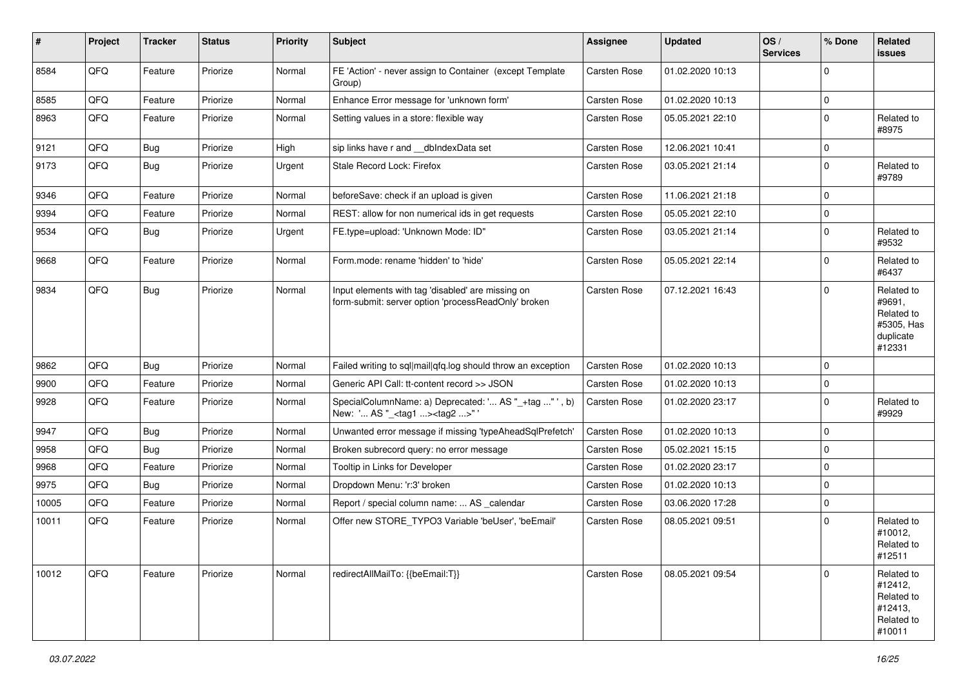| #     | Project | <b>Tracker</b> | <b>Status</b> | <b>Priority</b> | Subject                                                                                                  | <b>Assignee</b> | <b>Updated</b>   | OS/<br><b>Services</b> | % Done      | Related<br><b>issues</b>                                                |
|-------|---------|----------------|---------------|-----------------|----------------------------------------------------------------------------------------------------------|-----------------|------------------|------------------------|-------------|-------------------------------------------------------------------------|
| 8584  | QFQ     | Feature        | Priorize      | Normal          | FE 'Action' - never assign to Container (except Template<br>Group)                                       | Carsten Rose    | 01.02.2020 10:13 |                        | $\mathbf 0$ |                                                                         |
| 8585  | QFQ     | Feature        | Priorize      | Normal          | Enhance Error message for 'unknown form'                                                                 | Carsten Rose    | 01.02.2020 10:13 |                        | $\mathbf 0$ |                                                                         |
| 8963  | QFQ     | Feature        | Priorize      | Normal          | Setting values in a store: flexible way                                                                  | Carsten Rose    | 05.05.2021 22:10 |                        | $\mathbf 0$ | Related to<br>#8975                                                     |
| 9121  | QFQ     | Bug            | Priorize      | High            | sip links have r and __dbIndexData set                                                                   | Carsten Rose    | 12.06.2021 10:41 |                        | $\mathbf 0$ |                                                                         |
| 9173  | QFQ     | Bug            | Priorize      | Urgent          | Stale Record Lock: Firefox                                                                               | Carsten Rose    | 03.05.2021 21:14 |                        | $\mathbf 0$ | Related to<br>#9789                                                     |
| 9346  | QFQ     | Feature        | Priorize      | Normal          | beforeSave: check if an upload is given                                                                  | Carsten Rose    | 11.06.2021 21:18 |                        | $\mathbf 0$ |                                                                         |
| 9394  | QFQ     | Feature        | Priorize      | Normal          | REST: allow for non numerical ids in get requests                                                        | Carsten Rose    | 05.05.2021 22:10 |                        | $\mathbf 0$ |                                                                         |
| 9534  | QFQ     | Bug            | Priorize      | Urgent          | FE.type=upload: 'Unknown Mode: ID"                                                                       | Carsten Rose    | 03.05.2021 21:14 |                        | $\mathbf 0$ | Related to<br>#9532                                                     |
| 9668  | QFQ     | Feature        | Priorize      | Normal          | Form.mode: rename 'hidden' to 'hide'                                                                     | Carsten Rose    | 05.05.2021 22:14 |                        | $\mathbf 0$ | Related to<br>#6437                                                     |
| 9834  | QFQ     | Bug            | Priorize      | Normal          | Input elements with tag 'disabled' are missing on<br>form-submit: server option 'processReadOnly' broken | Carsten Rose    | 07.12.2021 16:43 |                        | $\mathbf 0$ | Related to<br>#9691,<br>Related to<br>#5305, Has<br>duplicate<br>#12331 |
| 9862  | QFQ     | Bug            | Priorize      | Normal          | Failed writing to sql mail qfq.log should throw an exception                                             | Carsten Rose    | 01.02.2020 10:13 |                        | $\mathbf 0$ |                                                                         |
| 9900  | QFQ     | Feature        | Priorize      | Normal          | Generic API Call: tt-content record >> JSON                                                              | Carsten Rose    | 01.02.2020 10:13 |                        | $\mathbf 0$ |                                                                         |
| 9928  | QFQ     | Feature        | Priorize      | Normal          | SpecialColumnName: a) Deprecated: ' AS "_+tag " ', b)<br>New: ' AS "_ <tag1><tag2>"'</tag2></tag1>       | Carsten Rose    | 01.02.2020 23:17 |                        | $\mathbf 0$ | Related to<br>#9929                                                     |
| 9947  | QFQ     | Bug            | Priorize      | Normal          | Unwanted error message if missing 'typeAheadSqlPrefetch'                                                 | Carsten Rose    | 01.02.2020 10:13 |                        | $\mathbf 0$ |                                                                         |
| 9958  | QFQ     | Bug            | Priorize      | Normal          | Broken subrecord query: no error message                                                                 | Carsten Rose    | 05.02.2021 15:15 |                        | $\mathbf 0$ |                                                                         |
| 9968  | QFQ     | Feature        | Priorize      | Normal          | Tooltip in Links for Developer                                                                           | Carsten Rose    | 01.02.2020 23:17 |                        | $\mathbf 0$ |                                                                         |
| 9975  | QFQ     | Bug            | Priorize      | Normal          | Dropdown Menu: 'r:3' broken                                                                              | Carsten Rose    | 01.02.2020 10:13 |                        | $\pmb{0}$   |                                                                         |
| 10005 | QFQ     | Feature        | Priorize      | Normal          | Report / special column name:  AS _calendar                                                              | Carsten Rose    | 03.06.2020 17:28 |                        | $\mathbf 0$ |                                                                         |
| 10011 | QFQ     | Feature        | Priorize      | Normal          | Offer new STORE_TYPO3 Variable 'beUser', 'beEmail'                                                       | Carsten Rose    | 08.05.2021 09:51 |                        | $\mathbf 0$ | Related to<br>#10012,<br>Related to<br>#12511                           |
| 10012 | QFQ     | Feature        | Priorize      | Normal          | redirectAllMailTo: {{beEmail:T}}                                                                         | Carsten Rose    | 08.05.2021 09:54 |                        | $\mathbf 0$ | Related to<br>#12412,<br>Related to<br>#12413,<br>Related to<br>#10011  |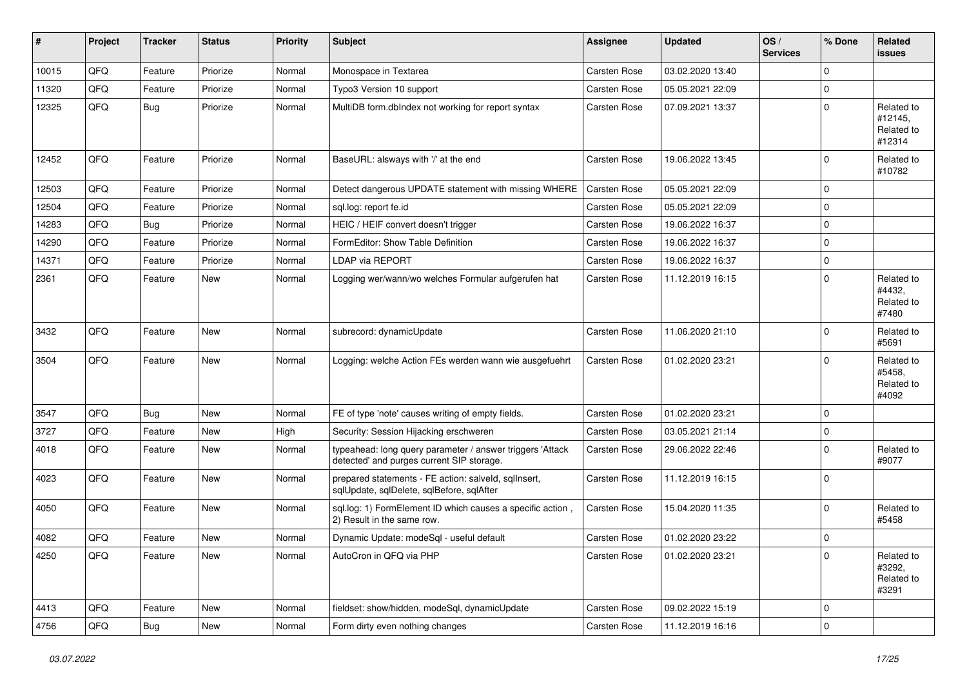| ∦     | Project | <b>Tracker</b> | <b>Status</b> | <b>Priority</b> | <b>Subject</b>                                                                                         | Assignee            | <b>Updated</b>   | OS/<br><b>Services</b> | % Done      | Related<br><b>issues</b>                      |
|-------|---------|----------------|---------------|-----------------|--------------------------------------------------------------------------------------------------------|---------------------|------------------|------------------------|-------------|-----------------------------------------------|
| 10015 | QFQ     | Feature        | Priorize      | Normal          | Monospace in Textarea                                                                                  | <b>Carsten Rose</b> | 03.02.2020 13:40 |                        | $\Omega$    |                                               |
| 11320 | QFQ     | Feature        | Priorize      | Normal          | Typo3 Version 10 support                                                                               | <b>Carsten Rose</b> | 05.05.2021 22:09 |                        | $\Omega$    |                                               |
| 12325 | QFQ     | Bug            | Priorize      | Normal          | MultiDB form.dblndex not working for report syntax                                                     | Carsten Rose        | 07.09.2021 13:37 |                        | $\Omega$    | Related to<br>#12145,<br>Related to<br>#12314 |
| 12452 | QFQ     | Feature        | Priorize      | Normal          | BaseURL: alsways with '/' at the end                                                                   | Carsten Rose        | 19.06.2022 13:45 |                        | 0           | Related to<br>#10782                          |
| 12503 | QFQ     | Feature        | Priorize      | Normal          | Detect dangerous UPDATE statement with missing WHERE                                                   | <b>Carsten Rose</b> | 05.05.2021 22:09 |                        | $\Omega$    |                                               |
| 12504 | QFQ     | Feature        | Priorize      | Normal          | sql.log: report fe.id                                                                                  | <b>Carsten Rose</b> | 05.05.2021 22:09 |                        | $\mathbf 0$ |                                               |
| 14283 | QFQ     | Bug            | Priorize      | Normal          | HEIC / HEIF convert doesn't trigger                                                                    | <b>Carsten Rose</b> | 19.06.2022 16:37 |                        | $\mathbf 0$ |                                               |
| 14290 | QFQ     | Feature        | Priorize      | Normal          | FormEditor: Show Table Definition                                                                      | Carsten Rose        | 19.06.2022 16:37 |                        | $\mathbf 0$ |                                               |
| 14371 | QFQ     | Feature        | Priorize      | Normal          | <b>LDAP via REPORT</b>                                                                                 | <b>Carsten Rose</b> | 19.06.2022 16:37 |                        | $\mathbf 0$ |                                               |
| 2361  | QFQ     | Feature        | New           | Normal          | Logging wer/wann/wo welches Formular aufgerufen hat                                                    | <b>Carsten Rose</b> | 11.12.2019 16:15 |                        | $\Omega$    | Related to<br>#4432,<br>Related to<br>#7480   |
| 3432  | QFQ     | Feature        | <b>New</b>    | Normal          | subrecord: dynamicUpdate                                                                               | Carsten Rose        | 11.06.2020 21:10 |                        | $\mathbf 0$ | Related to<br>#5691                           |
| 3504  | QFQ     | Feature        | <b>New</b>    | Normal          | Logging: welche Action FEs werden wann wie ausgefuehrt                                                 | <b>Carsten Rose</b> | 01.02.2020 23:21 |                        | $\Omega$    | Related to<br>#5458,<br>Related to<br>#4092   |
| 3547  | QFQ     | Bug            | <b>New</b>    | Normal          | FE of type 'note' causes writing of empty fields.                                                      | Carsten Rose        | 01.02.2020 23:21 |                        | $\mathbf 0$ |                                               |
| 3727  | QFQ     | Feature        | <b>New</b>    | High            | Security: Session Hijacking erschweren                                                                 | Carsten Rose        | 03.05.2021 21:14 |                        | 0           |                                               |
| 4018  | QFQ     | Feature        | New           | Normal          | typeahead: long query parameter / answer triggers 'Attack<br>detected' and purges current SIP storage. | <b>Carsten Rose</b> | 29.06.2022 22:46 |                        | $\Omega$    | Related to<br>#9077                           |
| 4023  | QFQ     | Feature        | <b>New</b>    | Normal          | prepared statements - FE action: salveld, sqllnsert,<br>sqlUpdate, sqlDelete, sqlBefore, sqlAfter      | Carsten Rose        | 11.12.2019 16:15 |                        | $\Omega$    |                                               |
| 4050  | QFQ     | Feature        | New           | Normal          | sql.log: 1) FormElement ID which causes a specific action,<br>2) Result in the same row.               | Carsten Rose        | 15.04.2020 11:35 |                        | $\Omega$    | Related to<br>#5458                           |
| 4082  | QFQ     | Feature        | New           | Normal          | Dynamic Update: modeSql - useful default                                                               | <b>Carsten Rose</b> | 01.02.2020 23:22 |                        | $\mathbf 0$ |                                               |
| 4250  | QFQ     | Feature        | New           | Normal          | AutoCron in QFQ via PHP                                                                                | Carsten Rose        | 01.02.2020 23:21 |                        | 0           | Related to<br>#3292,<br>Related to<br>#3291   |
| 4413  | QFQ     | Feature        | New           | Normal          | fieldset: show/hidden, modeSql, dynamicUpdate                                                          | Carsten Rose        | 09.02.2022 15:19 |                        | 0           |                                               |
| 4756  | QFG     | Bug            | New           | Normal          | Form dirty even nothing changes                                                                        | Carsten Rose        | 11.12.2019 16:16 |                        | $\mathbf 0$ |                                               |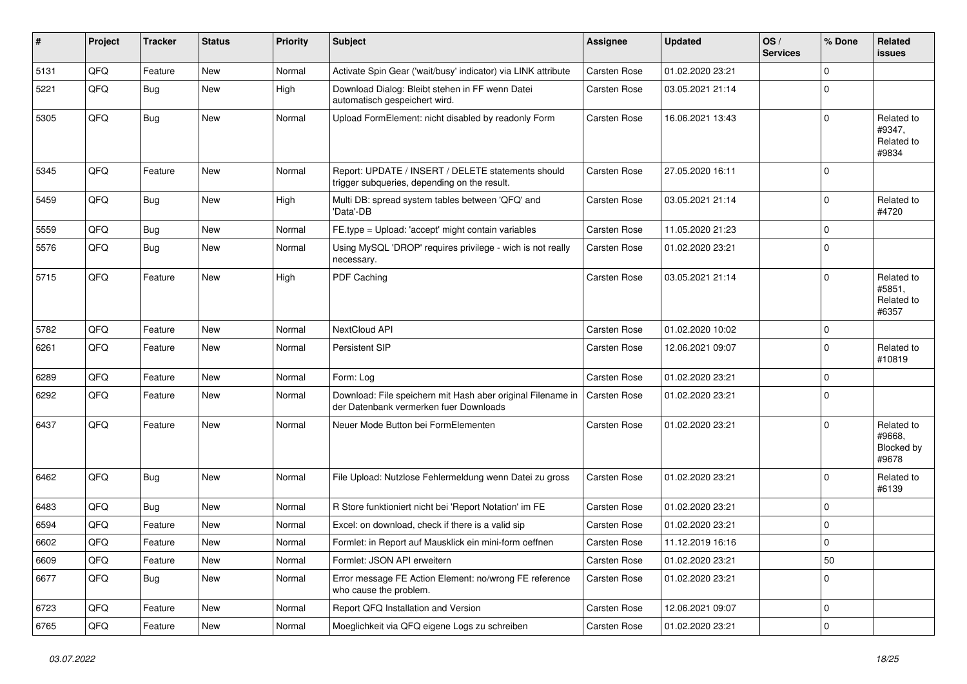| #    | Project | <b>Tracker</b> | <b>Status</b> | <b>Priority</b> | Subject                                                                                               | <b>Assignee</b>     | <b>Updated</b>   | OS/<br><b>Services</b> | % Done      | Related<br>issues                           |
|------|---------|----------------|---------------|-----------------|-------------------------------------------------------------------------------------------------------|---------------------|------------------|------------------------|-------------|---------------------------------------------|
| 5131 | QFQ     | Feature        | <b>New</b>    | Normal          | Activate Spin Gear ('wait/busy' indicator) via LINK attribute                                         | Carsten Rose        | 01.02.2020 23:21 |                        | $\Omega$    |                                             |
| 5221 | QFQ     | Bug            | New           | High            | Download Dialog: Bleibt stehen in FF wenn Datei<br>automatisch gespeichert wird.                      | <b>Carsten Rose</b> | 03.05.2021 21:14 |                        | 0           |                                             |
| 5305 | QFQ     | Bug            | New           | Normal          | Upload FormElement: nicht disabled by readonly Form                                                   | <b>Carsten Rose</b> | 16.06.2021 13:43 |                        | $\Omega$    | Related to<br>#9347,<br>Related to<br>#9834 |
| 5345 | QFQ     | Feature        | <b>New</b>    | Normal          | Report: UPDATE / INSERT / DELETE statements should<br>trigger subqueries, depending on the result.    | <b>Carsten Rose</b> | 27.05.2020 16:11 |                        | $\Omega$    |                                             |
| 5459 | QFQ     | <b>Bug</b>     | New           | High            | Multi DB: spread system tables between 'QFQ' and<br>'Data'-DB                                         | <b>Carsten Rose</b> | 03.05.2021 21:14 |                        | $\Omega$    | Related to<br>#4720                         |
| 5559 | QFQ     | Bug            | New           | Normal          | FE.type = Upload: 'accept' might contain variables                                                    | <b>Carsten Rose</b> | 11.05.2020 21:23 |                        | 0           |                                             |
| 5576 | QFQ     | Bug            | New           | Normal          | Using MySQL 'DROP' requires privilege - wich is not really<br>necessary.                              | <b>Carsten Rose</b> | 01.02.2020 23:21 |                        | $\Omega$    |                                             |
| 5715 | QFQ     | Feature        | <b>New</b>    | High            | PDF Caching                                                                                           | <b>Carsten Rose</b> | 03.05.2021 21:14 |                        | $\Omega$    | Related to<br>#5851,<br>Related to<br>#6357 |
| 5782 | QFQ     | Feature        | New           | Normal          | NextCloud API                                                                                         | <b>Carsten Rose</b> | 01.02.2020 10:02 |                        | $\Omega$    |                                             |
| 6261 | QFQ     | Feature        | New           | Normal          | Persistent SIP                                                                                        | <b>Carsten Rose</b> | 12.06.2021 09:07 |                        | $\Omega$    | Related to<br>#10819                        |
| 6289 | QFQ     | Feature        | New           | Normal          | Form: Log                                                                                             | <b>Carsten Rose</b> | 01.02.2020 23:21 |                        | 0           |                                             |
| 6292 | QFQ     | Feature        | <b>New</b>    | Normal          | Download: File speichern mit Hash aber original Filename in<br>der Datenbank vermerken fuer Downloads | <b>Carsten Rose</b> | 01.02.2020 23:21 |                        | $\Omega$    |                                             |
| 6437 | QFQ     | Feature        | New           | Normal          | Neuer Mode Button bei FormElementen                                                                   | <b>Carsten Rose</b> | 01.02.2020 23:21 |                        | $\Omega$    | Related to<br>#9668,<br>Blocked by<br>#9678 |
| 6462 | QFQ     | Bug            | <b>New</b>    | Normal          | File Upload: Nutzlose Fehlermeldung wenn Datei zu gross                                               | <b>Carsten Rose</b> | 01.02.2020 23:21 |                        | $\Omega$    | Related to<br>#6139                         |
| 6483 | QFQ     | Bug            | <b>New</b>    | Normal          | R Store funktioniert nicht bei 'Report Notation' im FE                                                | Carsten Rose        | 01.02.2020 23:21 |                        | $\mathbf 0$ |                                             |
| 6594 | QFQ     | Feature        | New           | Normal          | Excel: on download, check if there is a valid sip                                                     | Carsten Rose        | 01.02.2020 23:21 |                        | $\mathbf 0$ |                                             |
| 6602 | QFQ     | Feature        | <b>New</b>    | Normal          | Formlet: in Report auf Mausklick ein mini-form oeffnen                                                | <b>Carsten Rose</b> | 11.12.2019 16:16 |                        | 0           |                                             |
| 6609 | QFQ     | Feature        | New           | Normal          | Formlet: JSON API erweitern                                                                           | Carsten Rose        | 01.02.2020 23:21 |                        | 50          |                                             |
| 6677 | QFQ     | <b>Bug</b>     | New           | Normal          | Error message FE Action Element: no/wrong FE reference<br>who cause the problem.                      | <b>Carsten Rose</b> | 01.02.2020 23:21 |                        | 0           |                                             |
| 6723 | QFQ     | Feature        | New           | Normal          | Report QFQ Installation and Version                                                                   | Carsten Rose        | 12.06.2021 09:07 |                        | $\mathbf 0$ |                                             |
| 6765 | QFQ     | Feature        | New           | Normal          | Moeglichkeit via QFQ eigene Logs zu schreiben                                                         | Carsten Rose        | 01.02.2020 23:21 |                        | $\mathbf 0$ |                                             |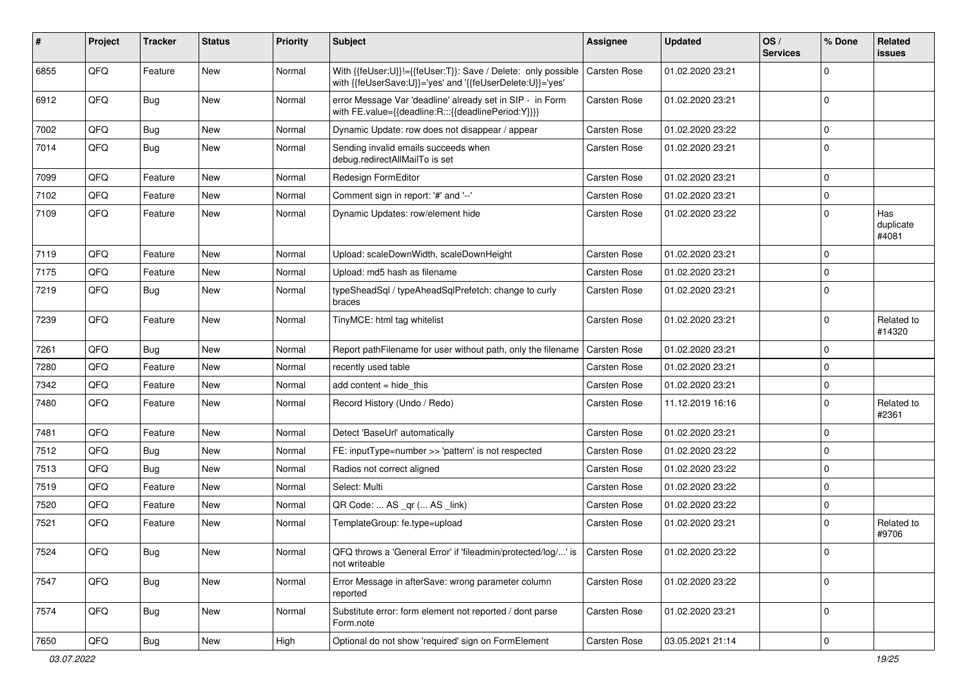| ∦    | Project | <b>Tracker</b> | <b>Status</b> | <b>Priority</b> | <b>Subject</b>                                                                                                             | <b>Assignee</b>     | <b>Updated</b>   | OS/<br><b>Services</b> | % Done      | Related<br>issues         |
|------|---------|----------------|---------------|-----------------|----------------------------------------------------------------------------------------------------------------------------|---------------------|------------------|------------------------|-------------|---------------------------|
| 6855 | QFQ     | Feature        | <b>New</b>    | Normal          | With {{feUser:U}}!={{feUser:T}}: Save / Delete: only possible<br>with {{feUserSave:U}}='yes' and '{{feUserDelete:U}}='yes' | <b>Carsten Rose</b> | 01.02.2020 23:21 |                        | $\Omega$    |                           |
| 6912 | QFQ     | Bug            | New           | Normal          | error Message Var 'deadline' already set in SIP - in Form<br>with FE.value={{deadline:R:::{{deadlinePeriod:Y}}}}           | <b>Carsten Rose</b> | 01.02.2020 23:21 |                        | $\mathbf 0$ |                           |
| 7002 | QFQ     | Bug            | New           | Normal          | Dynamic Update: row does not disappear / appear                                                                            | <b>Carsten Rose</b> | 01.02.2020 23:22 |                        | 0           |                           |
| 7014 | QFQ     | Bug            | New           | Normal          | Sending invalid emails succeeds when<br>debug.redirectAllMailTo is set                                                     | Carsten Rose        | 01.02.2020 23:21 |                        | 0           |                           |
| 7099 | QFQ     | Feature        | <b>New</b>    | Normal          | Redesign FormEditor                                                                                                        | <b>Carsten Rose</b> | 01.02.2020 23:21 |                        | $\Omega$    |                           |
| 7102 | QFQ     | Feature        | New           | Normal          | Comment sign in report: '#' and '--'                                                                                       | <b>Carsten Rose</b> | 01.02.2020 23:21 |                        | $\mathbf 0$ |                           |
| 7109 | QFQ     | Feature        | New           | Normal          | Dynamic Updates: row/element hide                                                                                          | <b>Carsten Rose</b> | 01.02.2020 23:22 |                        | $\Omega$    | Has<br>duplicate<br>#4081 |
| 7119 | QFQ     | Feature        | New           | Normal          | Upload: scaleDownWidth, scaleDownHeight                                                                                    | <b>Carsten Rose</b> | 01.02.2020 23:21 |                        | $\mathbf 0$ |                           |
| 7175 | QFQ     | Feature        | New           | Normal          | Upload: md5 hash as filename                                                                                               | Carsten Rose        | 01.02.2020 23:21 |                        | $\Omega$    |                           |
| 7219 | QFQ     | Bug            | New           | Normal          | typeSheadSql / typeAheadSqlPrefetch: change to curly<br>braces                                                             | <b>Carsten Rose</b> | 01.02.2020 23:21 |                        | 0           |                           |
| 7239 | QFQ     | Feature        | New           | Normal          | TinyMCE: html tag whitelist                                                                                                | Carsten Rose        | 01.02.2020 23:21 |                        | $\mathbf 0$ | Related to<br>#14320      |
| 7261 | QFQ     | Bug            | New           | Normal          | Report pathFilename for user without path, only the filename                                                               | <b>Carsten Rose</b> | 01.02.2020 23:21 |                        | $\Omega$    |                           |
| 7280 | QFQ     | Feature        | <b>New</b>    | Normal          | recently used table                                                                                                        | <b>Carsten Rose</b> | 01.02.2020 23:21 |                        | $\Omega$    |                           |
| 7342 | QFQ     | Feature        | New           | Normal          | add content $=$ hide this                                                                                                  | Carsten Rose        | 01.02.2020 23:21 |                        | $\mathbf 0$ |                           |
| 7480 | QFQ     | Feature        | New           | Normal          | Record History (Undo / Redo)                                                                                               | Carsten Rose        | 11.12.2019 16:16 |                        | $\mathbf 0$ | Related to<br>#2361       |
| 7481 | QFQ     | Feature        | New           | Normal          | Detect 'BaseUrl' automatically                                                                                             | <b>Carsten Rose</b> | 01.02.2020 23:21 |                        | $\mathbf 0$ |                           |
| 7512 | QFQ     | Bug            | New           | Normal          | FE: inputType=number >> 'pattern' is not respected                                                                         | <b>Carsten Rose</b> | 01.02.2020 23:22 |                        | $\mathbf 0$ |                           |
| 7513 | QFQ     | Bug            | New           | Normal          | Radios not correct aligned                                                                                                 | <b>Carsten Rose</b> | 01.02.2020 23:22 |                        | $\mathbf 0$ |                           |
| 7519 | QFQ     | Feature        | New           | Normal          | Select: Multi                                                                                                              | Carsten Rose        | 01.02.2020 23:22 |                        | $\Omega$    |                           |
| 7520 | QFQ     | Feature        | New           | Normal          | QR Code:  AS _qr ( AS _link)                                                                                               | <b>Carsten Rose</b> | 01.02.2020 23:22 |                        | 0           |                           |
| 7521 | QFQ     | Feature        | New           | Normal          | TemplateGroup: fe.type=upload                                                                                              | <b>Carsten Rose</b> | 01.02.2020 23:21 |                        | $\Omega$    | Related to<br>#9706       |
| 7524 | QFQ     | <b>Bug</b>     | New           | Normal          | QFQ throws a 'General Error' if 'fileadmin/protected/log/' is   Carsten Rose<br>not writeable                              |                     | 01.02.2020 23:22 |                        | 0           |                           |
| 7547 | QFQ     | Bug            | New           | Normal          | Error Message in afterSave: wrong parameter column<br>reported                                                             | Carsten Rose        | 01.02.2020 23:22 |                        | 0           |                           |
| 7574 | QFQ     | <b>Bug</b>     | New           | Normal          | Substitute error: form element not reported / dont parse<br>Form.note                                                      | Carsten Rose        | 01.02.2020 23:21 |                        | $\mathbf 0$ |                           |
| 7650 | QFQ     | Bug            | New           | High            | Optional do not show 'required' sign on FormElement                                                                        | Carsten Rose        | 03.05.2021 21:14 |                        | 0           |                           |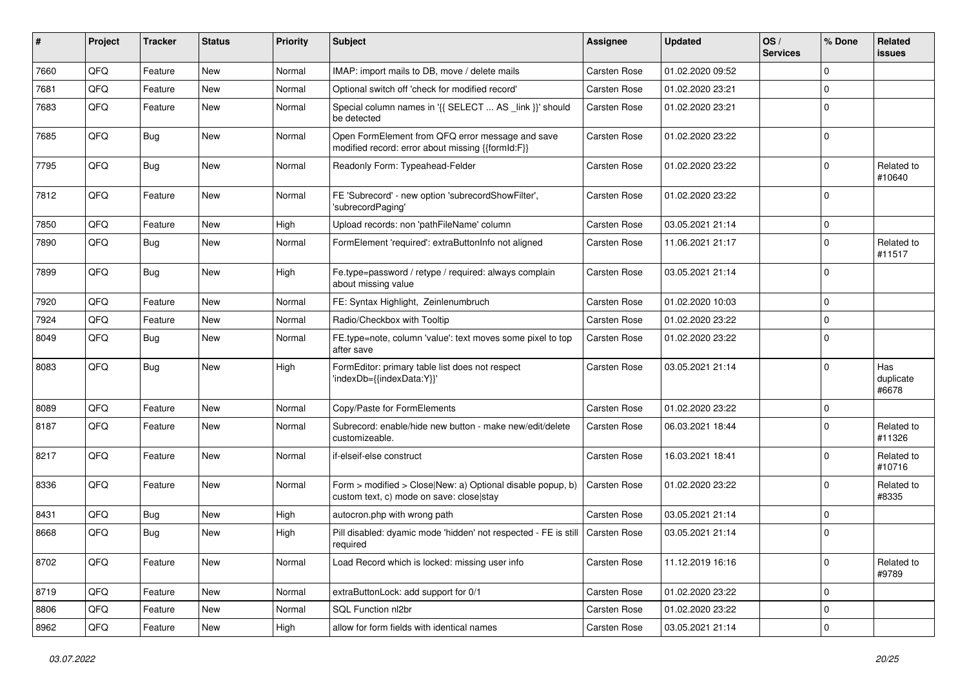| #    | Project | <b>Tracker</b> | <b>Status</b> | <b>Priority</b> | <b>Subject</b>                                                                                         | <b>Assignee</b>     | <b>Updated</b>   | OS/<br><b>Services</b> | % Done      | Related<br><b>issues</b>  |
|------|---------|----------------|---------------|-----------------|--------------------------------------------------------------------------------------------------------|---------------------|------------------|------------------------|-------------|---------------------------|
| 7660 | QFQ     | Feature        | <b>New</b>    | Normal          | IMAP: import mails to DB, move / delete mails                                                          | Carsten Rose        | 01.02.2020 09:52 |                        | $\Omega$    |                           |
| 7681 | QFQ     | Feature        | <b>New</b>    | Normal          | Optional switch off 'check for modified record'                                                        | <b>Carsten Rose</b> | 01.02.2020 23:21 |                        | $\Omega$    |                           |
| 7683 | QFQ     | Feature        | New           | Normal          | Special column names in '{{ SELECT  AS _link }}' should<br>be detected                                 | <b>Carsten Rose</b> | 01.02.2020 23:21 |                        | $\Omega$    |                           |
| 7685 | QFQ     | Bug            | New           | Normal          | Open FormElement from QFQ error message and save<br>modified record: error about missing {{formId:F}}  | <b>Carsten Rose</b> | 01.02.2020 23:22 |                        | $\Omega$    |                           |
| 7795 | QFQ     | <b>Bug</b>     | New           | Normal          | Readonly Form: Typeahead-Felder                                                                        | <b>Carsten Rose</b> | 01.02.2020 23:22 |                        | $\Omega$    | Related to<br>#10640      |
| 7812 | QFQ     | Feature        | <b>New</b>    | Normal          | FE 'Subrecord' - new option 'subrecordShowFilter',<br>'subrecordPaging'                                | <b>Carsten Rose</b> | 01.02.2020 23:22 |                        | $\Omega$    |                           |
| 7850 | QFQ     | Feature        | <b>New</b>    | High            | Upload records: non 'pathFileName' column                                                              | Carsten Rose        | 03.05.2021 21:14 |                        | $\Omega$    |                           |
| 7890 | QFQ     | Bug            | <b>New</b>    | Normal          | FormElement 'required': extraButtonInfo not aligned                                                    | <b>Carsten Rose</b> | 11.06.2021 21:17 |                        | $\Omega$    | Related to<br>#11517      |
| 7899 | QFQ     | Bug            | <b>New</b>    | High            | Fe.type=password / retype / required: always complain<br>about missing value                           | <b>Carsten Rose</b> | 03.05.2021 21:14 |                        | $\Omega$    |                           |
| 7920 | QFQ     | Feature        | <b>New</b>    | Normal          | FE: Syntax Highlight, Zeinlenumbruch                                                                   | <b>Carsten Rose</b> | 01.02.2020 10:03 |                        | $\Omega$    |                           |
| 7924 | QFQ     | Feature        | New           | Normal          | Radio/Checkbox with Tooltip                                                                            | <b>Carsten Rose</b> | 01.02.2020 23:22 |                        | $\Omega$    |                           |
| 8049 | QFQ     | Bug            | New           | Normal          | FE.type=note, column 'value': text moves some pixel to top<br>after save                               | <b>Carsten Rose</b> | 01.02.2020 23:22 |                        | $\Omega$    |                           |
| 8083 | QFQ     | Bug            | <b>New</b>    | High            | FormEditor: primary table list does not respect<br>'indexDb={{indexData:Y}}'                           | <b>Carsten Rose</b> | 03.05.2021 21:14 |                        | $\Omega$    | Has<br>duplicate<br>#6678 |
| 8089 | QFQ     | Feature        | New           | Normal          | Copy/Paste for FormElements                                                                            | <b>Carsten Rose</b> | 01.02.2020 23:22 |                        | $\mathbf 0$ |                           |
| 8187 | QFQ     | Feature        | <b>New</b>    | Normal          | Subrecord: enable/hide new button - make new/edit/delete<br>customizeable.                             | <b>Carsten Rose</b> | 06.03.2021 18:44 |                        | $\Omega$    | Related to<br>#11326      |
| 8217 | QFQ     | Feature        | <b>New</b>    | Normal          | if-elseif-else construct                                                                               | Carsten Rose        | 16.03.2021 18:41 |                        | $\Omega$    | Related to<br>#10716      |
| 8336 | QFQ     | Feature        | New           | Normal          | Form > modified > Close New: a) Optional disable popup, b)<br>custom text, c) mode on save: close stay | <b>Carsten Rose</b> | 01.02.2020 23:22 |                        | $\Omega$    | Related to<br>#8335       |
| 8431 | QFQ     | <b>Bug</b>     | <b>New</b>    | High            | autocron.php with wrong path                                                                           | <b>Carsten Rose</b> | 03.05.2021 21:14 |                        | 0           |                           |
| 8668 | QFQ     | Bug            | <b>New</b>    | High            | Pill disabled: dyamic mode 'hidden' not respected - FE is still<br>required                            | Carsten Rose        | 03.05.2021 21:14 |                        | $\Omega$    |                           |
| 8702 | QFQ     | Feature        | New           | Normal          | Load Record which is locked: missing user info                                                         | <b>Carsten Rose</b> | 11.12.2019 16:16 |                        | $\mathbf 0$ | Related to<br>#9789       |
| 8719 | QFQ     | Feature        | New           | Normal          | extraButtonLock: add support for 0/1                                                                   | Carsten Rose        | 01.02.2020 23:22 |                        | $\mathbf 0$ |                           |
| 8806 | QFQ     | Feature        | New           | Normal          | SQL Function nl2br                                                                                     | Carsten Rose        | 01.02.2020 23:22 |                        | $\mathbf 0$ |                           |
| 8962 | QFQ     | Feature        | New           | High            | allow for form fields with identical names                                                             | Carsten Rose        | 03.05.2021 21:14 |                        | $\mathbf 0$ |                           |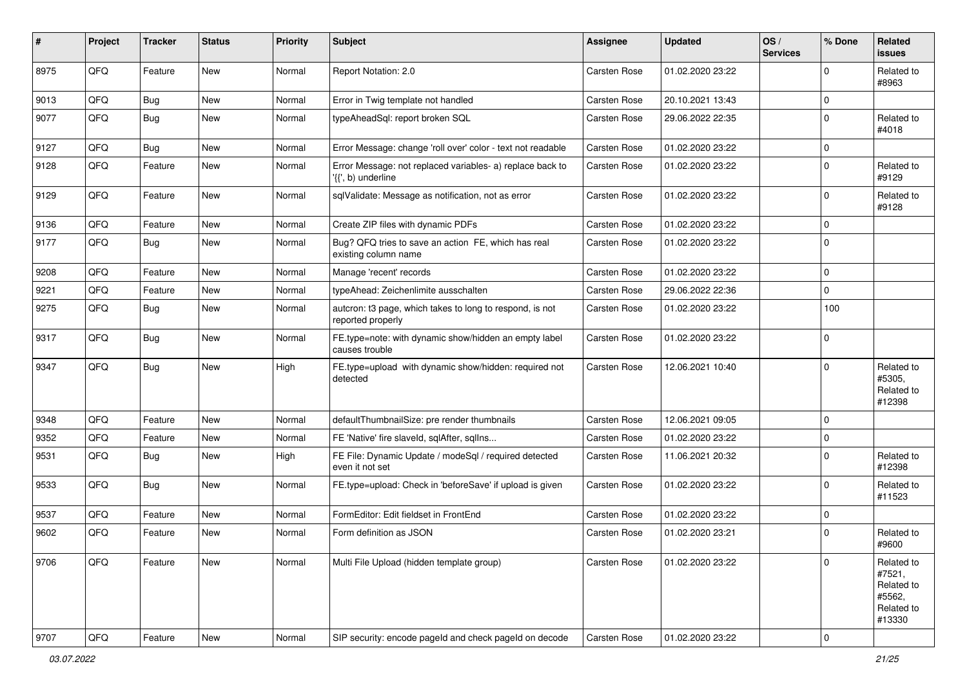| #    | Project | <b>Tracker</b> | <b>Status</b> | <b>Priority</b> | Subject                                                                         | Assignee            | <b>Updated</b>   | OS/<br><b>Services</b> | % Done      | Related<br>issues                                                    |
|------|---------|----------------|---------------|-----------------|---------------------------------------------------------------------------------|---------------------|------------------|------------------------|-------------|----------------------------------------------------------------------|
| 8975 | QFQ     | Feature        | <b>New</b>    | Normal          | Report Notation: 2.0                                                            | Carsten Rose        | 01.02.2020 23:22 |                        | $\Omega$    | Related to<br>#8963                                                  |
| 9013 | QFQ     | <b>Bug</b>     | New           | Normal          | Error in Twig template not handled                                              | Carsten Rose        | 20.10.2021 13:43 |                        | $\mathbf 0$ |                                                                      |
| 9077 | QFQ     | Bug            | New           | Normal          | typeAheadSql: report broken SQL                                                 | Carsten Rose        | 29.06.2022 22:35 |                        | $\Omega$    | Related to<br>#4018                                                  |
| 9127 | QFQ     | Bug            | <b>New</b>    | Normal          | Error Message: change 'roll over' color - text not readable                     | Carsten Rose        | 01.02.2020 23:22 |                        | 0           |                                                                      |
| 9128 | QFQ     | Feature        | <b>New</b>    | Normal          | Error Message: not replaced variables- a) replace back to<br>'{{', b) underline | Carsten Rose        | 01.02.2020 23:22 |                        | $\mathbf 0$ | Related to<br>#9129                                                  |
| 9129 | QFQ     | Feature        | New           | Normal          | sqlValidate: Message as notification, not as error                              | Carsten Rose        | 01.02.2020 23:22 |                        | $\mathbf 0$ | Related to<br>#9128                                                  |
| 9136 | QFQ     | Feature        | New           | Normal          | Create ZIP files with dynamic PDFs                                              | Carsten Rose        | 01.02.2020 23:22 |                        | $\mathbf 0$ |                                                                      |
| 9177 | QFQ     | Bug            | <b>New</b>    | Normal          | Bug? QFQ tries to save an action FE, which has real<br>existing column name     | Carsten Rose        | 01.02.2020 23:22 |                        | $\mathbf 0$ |                                                                      |
| 9208 | QFQ     | Feature        | <b>New</b>    | Normal          | Manage 'recent' records                                                         | Carsten Rose        | 01.02.2020 23:22 |                        | $\mathbf 0$ |                                                                      |
| 9221 | QFQ     | Feature        | <b>New</b>    | Normal          | typeAhead: Zeichenlimite ausschalten                                            | Carsten Rose        | 29.06.2022 22:36 |                        | $\mathbf 0$ |                                                                      |
| 9275 | QFQ     | Bug            | New           | Normal          | autcron: t3 page, which takes to long to respond, is not<br>reported properly   | Carsten Rose        | 01.02.2020 23:22 |                        | 100         |                                                                      |
| 9317 | QFQ     | Bug            | <b>New</b>    | Normal          | FE.type=note: with dynamic show/hidden an empty label<br>causes trouble         | Carsten Rose        | 01.02.2020 23:22 |                        | $\mathbf 0$ |                                                                      |
| 9347 | QFQ     | <b>Bug</b>     | <b>New</b>    | High            | FE.type=upload with dynamic show/hidden: required not<br>detected               | Carsten Rose        | 12.06.2021 10:40 |                        | $\Omega$    | Related to<br>#5305,<br>Related to<br>#12398                         |
| 9348 | QFQ     | Feature        | <b>New</b>    | Normal          | defaultThumbnailSize: pre render thumbnails                                     | Carsten Rose        | 12.06.2021 09:05 |                        | $\mathbf 0$ |                                                                      |
| 9352 | QFQ     | Feature        | New           | Normal          | FE 'Native' fire slaveld, sqlAfter, sqlIns                                      | Carsten Rose        | 01.02.2020 23:22 |                        | $\mathbf 0$ |                                                                      |
| 9531 | QFQ     | Bug            | <b>New</b>    | High            | FE File: Dynamic Update / modeSql / required detected<br>even it not set        | Carsten Rose        | 11.06.2021 20:32 |                        | $\mathbf 0$ | Related to<br>#12398                                                 |
| 9533 | QFQ     | Bug            | <b>New</b>    | Normal          | FE.type=upload: Check in 'beforeSave' if upload is given                        | Carsten Rose        | 01.02.2020 23:22 |                        | $\Omega$    | Related to<br>#11523                                                 |
| 9537 | QFQ     | Feature        | <b>New</b>    | Normal          | FormEditor: Edit fieldset in FrontEnd                                           | Carsten Rose        | 01.02.2020 23:22 |                        | $\mathbf 0$ |                                                                      |
| 9602 | QFQ     | Feature        | New           | Normal          | Form definition as JSON                                                         | <b>Carsten Rose</b> | 01.02.2020 23:21 |                        | $\mathbf 0$ | Related to<br>#9600                                                  |
| 9706 | QFQ     | Feature        | <b>New</b>    | Normal          | Multi File Upload (hidden template group)                                       | <b>Carsten Rose</b> | 01.02.2020 23:22 |                        | $\Omega$    | Related to<br>#7521,<br>Related to<br>#5562,<br>Related to<br>#13330 |
| 9707 | QFQ     | Feature        | New           | Normal          | SIP security: encode pageld and check pageld on decode                          | Carsten Rose        | 01.02.2020 23:22 |                        | 0           |                                                                      |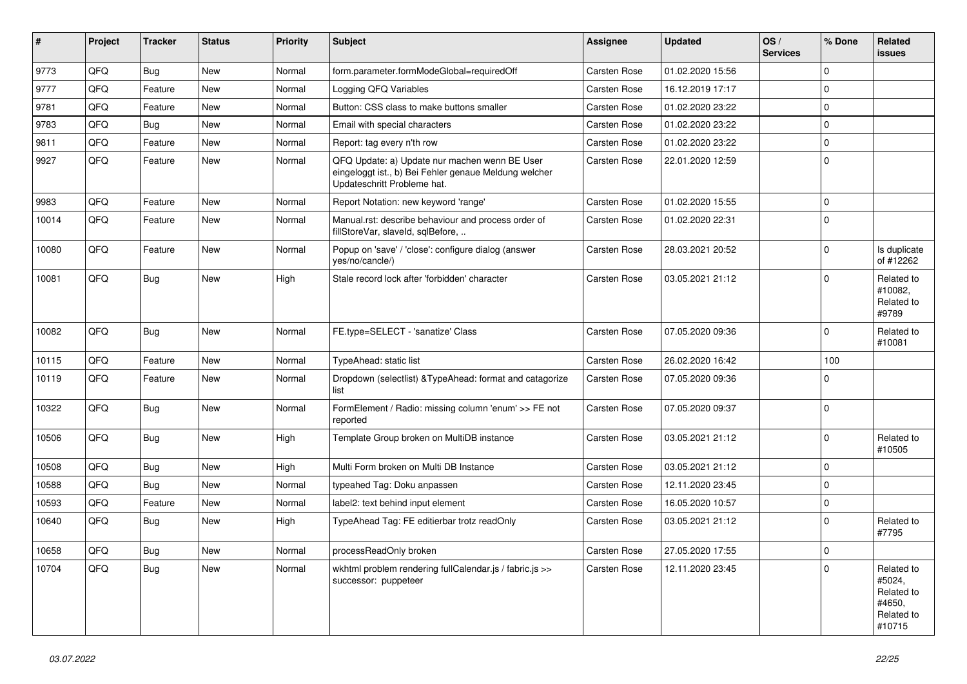| ∦     | Project | <b>Tracker</b> | <b>Status</b> | <b>Priority</b> | Subject                                                                                                                               | <b>Assignee</b>     | <b>Updated</b>   | OS/<br><b>Services</b> | % Done      | Related<br><b>issues</b>                                             |
|-------|---------|----------------|---------------|-----------------|---------------------------------------------------------------------------------------------------------------------------------------|---------------------|------------------|------------------------|-------------|----------------------------------------------------------------------|
| 9773  | QFQ     | Bug            | <b>New</b>    | Normal          | form.parameter.formModeGlobal=requiredOff                                                                                             | Carsten Rose        | 01.02.2020 15:56 |                        | $\Omega$    |                                                                      |
| 9777  | QFQ     | Feature        | <b>New</b>    | Normal          | Logging QFQ Variables                                                                                                                 | Carsten Rose        | 16.12.2019 17:17 |                        | $\mathbf 0$ |                                                                      |
| 9781  | QFQ     | Feature        | New           | Normal          | Button: CSS class to make buttons smaller                                                                                             | Carsten Rose        | 01.02.2020 23:22 |                        | $\Omega$    |                                                                      |
| 9783  | QFQ     | Bug            | <b>New</b>    | Normal          | Email with special characters                                                                                                         | Carsten Rose        | 01.02.2020 23:22 |                        | $\mathbf 0$ |                                                                      |
| 9811  | QFQ     | Feature        | <b>New</b>    | Normal          | Report: tag every n'th row                                                                                                            | <b>Carsten Rose</b> | 01.02.2020 23:22 |                        | $\Omega$    |                                                                      |
| 9927  | QFQ     | Feature        | New           | Normal          | QFQ Update: a) Update nur machen wenn BE User<br>eingeloggt ist., b) Bei Fehler genaue Meldung welcher<br>Updateschritt Probleme hat. | <b>Carsten Rose</b> | 22.01.2020 12:59 |                        | $\Omega$    |                                                                      |
| 9983  | QFQ     | Feature        | <b>New</b>    | Normal          | Report Notation: new keyword 'range'                                                                                                  | Carsten Rose        | 01.02.2020 15:55 |                        | $\mathbf 0$ |                                                                      |
| 10014 | QFQ     | Feature        | <b>New</b>    | Normal          | Manual.rst: describe behaviour and process order of<br>fillStoreVar, slaveId, sqlBefore,                                              | <b>Carsten Rose</b> | 01.02.2020 22:31 |                        | $\Omega$    |                                                                      |
| 10080 | QFQ     | Feature        | New           | Normal          | Popup on 'save' / 'close': configure dialog (answer<br>yes/no/cancle/)                                                                | Carsten Rose        | 28.03.2021 20:52 |                        | $\mathbf 0$ | Is duplicate<br>of #12262                                            |
| 10081 | QFQ     | Bug            | <b>New</b>    | High            | Stale record lock after 'forbidden' character                                                                                         | <b>Carsten Rose</b> | 03.05.2021 21:12 |                        | 0           | Related to<br>#10082,<br>Related to<br>#9789                         |
| 10082 | QFQ     | Bug            | <b>New</b>    | Normal          | FE.type=SELECT - 'sanatize' Class                                                                                                     | Carsten Rose        | 07.05.2020 09:36 |                        | $\mathbf 0$ | Related to<br>#10081                                                 |
| 10115 | QFQ     | Feature        | <b>New</b>    | Normal          | TypeAhead: static list                                                                                                                | Carsten Rose        | 26.02.2020 16:42 |                        | 100         |                                                                      |
| 10119 | QFQ     | Feature        | New           | Normal          | Dropdown (selectlist) & Type Ahead: format and catagorize<br>list                                                                     | <b>Carsten Rose</b> | 07.05.2020 09:36 |                        | $\Omega$    |                                                                      |
| 10322 | QFQ     | <b>Bug</b>     | <b>New</b>    | Normal          | FormElement / Radio: missing column 'enum' >> FE not<br>reported                                                                      | Carsten Rose        | 07.05.2020 09:37 |                        | $\mathbf 0$ |                                                                      |
| 10506 | QFQ     | Bug            | <b>New</b>    | High            | Template Group broken on MultiDB instance                                                                                             | Carsten Rose        | 03.05.2021 21:12 |                        | $\Omega$    | Related to<br>#10505                                                 |
| 10508 | QFQ     | Bug            | <b>New</b>    | High            | Multi Form broken on Multi DB Instance                                                                                                | Carsten Rose        | 03.05.2021 21:12 |                        | $\mathbf 0$ |                                                                      |
| 10588 | QFQ     | Bug            | <b>New</b>    | Normal          | typeahed Tag: Doku anpassen                                                                                                           | <b>Carsten Rose</b> | 12.11.2020 23:45 |                        | $\mathbf 0$ |                                                                      |
| 10593 | QFQ     | Feature        | <b>New</b>    | Normal          | label2: text behind input element                                                                                                     | <b>Carsten Rose</b> | 16.05.2020 10:57 |                        | 0           |                                                                      |
| 10640 | QFQ     | Bug            | New           | High            | TypeAhead Tag: FE editierbar trotz readOnly                                                                                           | <b>Carsten Rose</b> | 03.05.2021 21:12 |                        | $\Omega$    | Related to<br>#7795                                                  |
| 10658 | QFQ     | Bug            | <b>New</b>    | Normal          | processReadOnly broken                                                                                                                | Carsten Rose        | 27.05.2020 17:55 |                        | 0           |                                                                      |
| 10704 | QFQ     | Bug            | New           | Normal          | wkhtml problem rendering fullCalendar.js / fabric.js >><br>successor: puppeteer                                                       | <b>Carsten Rose</b> | 12.11.2020 23:45 |                        | $\Omega$    | Related to<br>#5024,<br>Related to<br>#4650,<br>Related to<br>#10715 |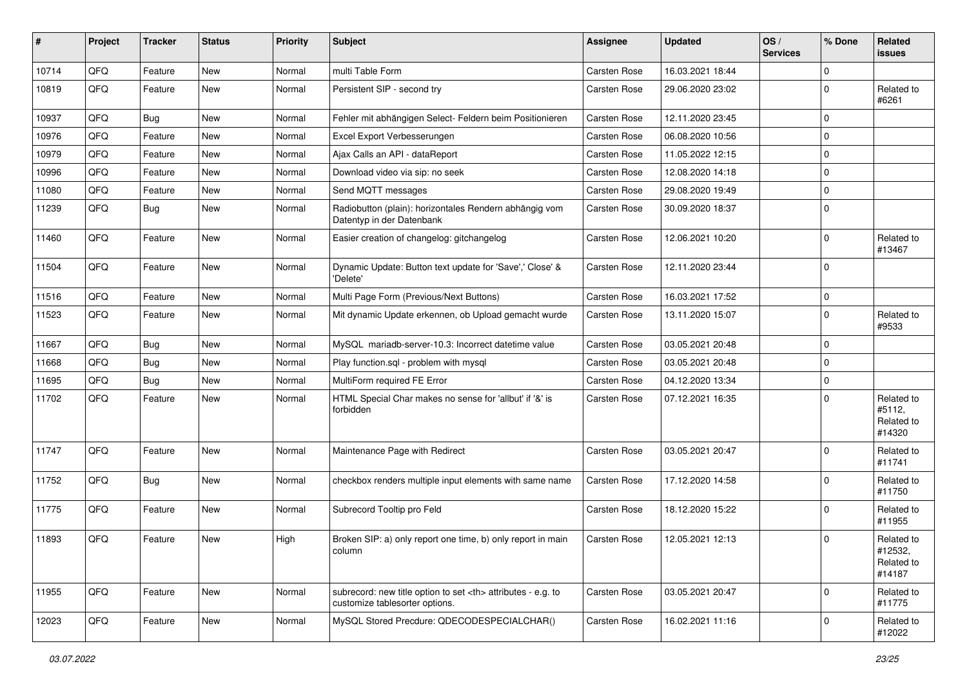| ∦     | Project | <b>Tracker</b> | <b>Status</b> | <b>Priority</b> | Subject                                                                                              | <b>Assignee</b>                                        | <b>Updated</b>   | OS/<br><b>Services</b> | % Done      | Related<br><b>issues</b>                      |                      |
|-------|---------|----------------|---------------|-----------------|------------------------------------------------------------------------------------------------------|--------------------------------------------------------|------------------|------------------------|-------------|-----------------------------------------------|----------------------|
| 10714 | QFQ     | Feature        | <b>New</b>    | Normal          | multi Table Form                                                                                     | Carsten Rose                                           | 16.03.2021 18:44 |                        | $\mathbf 0$ |                                               |                      |
| 10819 | QFQ     | Feature        | New           | Normal          | Persistent SIP - second try                                                                          | <b>Carsten Rose</b>                                    | 29.06.2020 23:02 |                        | $\Omega$    | Related to<br>#6261                           |                      |
| 10937 | QFQ     | Bug            | <b>New</b>    | Normal          | Fehler mit abhängigen Select- Feldern beim Positionieren                                             | Carsten Rose                                           | 12.11.2020 23:45 |                        | $\mathbf 0$ |                                               |                      |
| 10976 | QFQ     | Feature        | <b>New</b>    | Normal          | Excel Export Verbesserungen                                                                          | <b>Carsten Rose</b>                                    | 06.08.2020 10:56 |                        | $\Omega$    |                                               |                      |
| 10979 | QFQ     | Feature        | New           | Normal          | Ajax Calls an API - dataReport                                                                       | <b>Carsten Rose</b>                                    | 11.05.2022 12:15 |                        | $\Omega$    |                                               |                      |
| 10996 | QFQ     | Feature        | <b>New</b>    | Normal          | Download video via sip: no seek                                                                      | Carsten Rose                                           | 12.08.2020 14:18 |                        | $\mathbf 0$ |                                               |                      |
| 11080 | QFQ     | Feature        | <b>New</b>    | Normal          | Send MQTT messages                                                                                   | Carsten Rose                                           | 29.08.2020 19:49 |                        | $\mathbf 0$ |                                               |                      |
| 11239 | QFQ     | Bug            | <b>New</b>    | Normal          | Radiobutton (plain): horizontales Rendern abhängig vom<br>Datentyp in der Datenbank                  | <b>Carsten Rose</b>                                    | 30.09.2020 18:37 |                        | $\mathbf 0$ |                                               |                      |
| 11460 | QFQ     | Feature        | <b>New</b>    | Normal          | Easier creation of changelog: gitchangelog                                                           | Carsten Rose                                           | 12.06.2021 10:20 |                        | $\mathbf 0$ | Related to<br>#13467                          |                      |
| 11504 | QFQ     | Feature        | <b>New</b>    | Normal          | Dynamic Update: Button text update for 'Save',' Close' &<br>'Delete'                                 | <b>Carsten Rose</b>                                    | 12.11.2020 23:44 |                        | $\Omega$    |                                               |                      |
| 11516 | QFQ     | Feature        | <b>New</b>    | Normal          | Multi Page Form (Previous/Next Buttons)                                                              | Carsten Rose                                           | 16.03.2021 17:52 |                        | $\mathbf 0$ |                                               |                      |
| 11523 | QFQ     | Feature        | New           | Normal          | Mit dynamic Update erkennen, ob Upload gemacht wurde                                                 | Carsten Rose                                           | 13.11.2020 15:07 |                        | $\Omega$    | Related to<br>#9533                           |                      |
| 11667 | QFQ     | Bug            | <b>New</b>    | Normal          | MySQL mariadb-server-10.3: Incorrect datetime value                                                  | Carsten Rose                                           | 03.05.2021 20:48 |                        | $\mathbf 0$ |                                               |                      |
| 11668 | QFQ     | <b>Bug</b>     | <b>New</b>    | Normal          | Play function.sql - problem with mysql                                                               | <b>Carsten Rose</b>                                    | 03.05.2021 20:48 |                        | $\mathbf 0$ |                                               |                      |
| 11695 | QFQ     | Bug            | <b>New</b>    | Normal          | MultiForm required FE Error                                                                          | Carsten Rose                                           | 04.12.2020 13:34 |                        | $\mathbf 0$ |                                               |                      |
| 11702 | QFQ     | Feature        | <b>New</b>    | Normal          | HTML Special Char makes no sense for 'allbut' if '&' is<br>forbidden                                 | <b>Carsten Rose</b>                                    | 07.12.2021 16:35 |                        | $\Omega$    | Related to<br>#5112,<br>Related to<br>#14320  |                      |
| 11747 | QFQ     | Feature        | New           | Normal          | Maintenance Page with Redirect                                                                       | Carsten Rose                                           | 03.05.2021 20:47 |                        | $\Omega$    | Related to<br>#11741                          |                      |
| 11752 | QFQ     | Bug            | <b>New</b>    | Normal          | checkbox renders multiple input elements with same name                                              | Carsten Rose                                           | 17.12.2020 14:58 |                        | $\Omega$    | Related to<br>#11750                          |                      |
| 11775 | QFQ     | Feature        | <b>New</b>    | Normal          | Subrecord Tooltip pro Feld                                                                           | Carsten Rose                                           | 18.12.2020 15:22 |                        | $\Omega$    | Related to<br>#11955                          |                      |
| 11893 | QFQ     | Feature        | New           | High            | Broken SIP: a) only report one time, b) only report in main<br>column                                | <b>Carsten Rose</b>                                    | 12.05.2021 12:13 |                        | $\mathbf 0$ | Related to<br>#12532,<br>Related to<br>#14187 |                      |
| 11955 | QFQ     | Feature        | <b>New</b>    | Normal          | subrecord: new title option to set <th> attributes - e.g. to<br/>customize tablesorter options.</th> | attributes - e.g. to<br>customize tablesorter options. | Carsten Rose     | 03.05.2021 20:47       |             | $\mathbf 0$                                   | Related to<br>#11775 |
| 12023 | QFQ     | Feature        | New           | Normal          | MySQL Stored Precdure: QDECODESPECIALCHAR()                                                          | Carsten Rose                                           | 16.02.2021 11:16 |                        | 0           | Related to<br>#12022                          |                      |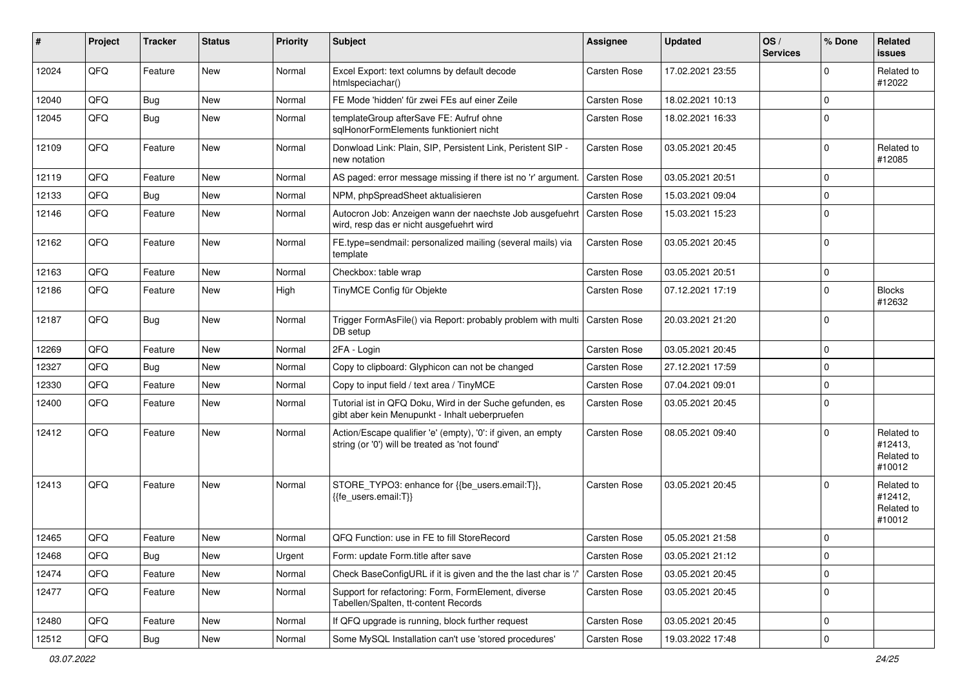| #     | Project | <b>Tracker</b> | <b>Status</b> | Priority | Subject                                                                                                        | <b>Assignee</b>     | <b>Updated</b>   | OS/<br><b>Services</b> | % Done      | Related<br>issues                             |
|-------|---------|----------------|---------------|----------|----------------------------------------------------------------------------------------------------------------|---------------------|------------------|------------------------|-------------|-----------------------------------------------|
| 12024 | QFQ     | Feature        | <b>New</b>    | Normal   | Excel Export: text columns by default decode<br>htmlspeciachar()                                               | <b>Carsten Rose</b> | 17.02.2021 23:55 |                        | 0           | Related to<br>#12022                          |
| 12040 | QFQ     | Bug            | <b>New</b>    | Normal   | FE Mode 'hidden' für zwei FEs auf einer Zeile                                                                  | <b>Carsten Rose</b> | 18.02.2021 10:13 |                        | $\Omega$    |                                               |
| 12045 | QFQ     | Bug            | <b>New</b>    | Normal   | templateGroup afterSave FE: Aufruf ohne<br>sqlHonorFormElements funktioniert nicht                             | <b>Carsten Rose</b> | 18.02.2021 16:33 |                        | $\Omega$    |                                               |
| 12109 | QFQ     | Feature        | <b>New</b>    | Normal   | Donwload Link: Plain, SIP, Persistent Link, Peristent SIP -<br>new notation                                    | <b>Carsten Rose</b> | 03.05.2021 20:45 |                        | $\Omega$    | Related to<br>#12085                          |
| 12119 | QFQ     | Feature        | <b>New</b>    | Normal   | AS paged: error message missing if there ist no 'r' argument.                                                  | <b>Carsten Rose</b> | 03.05.2021 20:51 |                        | 0           |                                               |
| 12133 | QFQ     | Bug            | <b>New</b>    | Normal   | NPM, phpSpreadSheet aktualisieren                                                                              | <b>Carsten Rose</b> | 15.03.2021 09:04 |                        | $\Omega$    |                                               |
| 12146 | QFQ     | Feature        | New           | Normal   | Autocron Job: Anzeigen wann der naechste Job ausgefuehrt<br>wird, resp das er nicht ausgefuehrt wird           | <b>Carsten Rose</b> | 15.03.2021 15:23 |                        | $\Omega$    |                                               |
| 12162 | QFQ     | Feature        | <b>New</b>    | Normal   | FE.type=sendmail: personalized mailing (several mails) via<br>template                                         | <b>Carsten Rose</b> | 03.05.2021 20:45 |                        | $\Omega$    |                                               |
| 12163 | QFQ     | Feature        | <b>New</b>    | Normal   | Checkbox: table wrap                                                                                           | Carsten Rose        | 03.05.2021 20:51 |                        | $\Omega$    |                                               |
| 12186 | QFQ     | Feature        | New           | High     | TinyMCE Config für Objekte                                                                                     | <b>Carsten Rose</b> | 07.12.2021 17:19 |                        | $\Omega$    | <b>Blocks</b><br>#12632                       |
| 12187 | QFQ     | Bug            | <b>New</b>    | Normal   | Trigger FormAsFile() via Report: probably problem with multi<br>DB setup                                       | Carsten Rose        | 20.03.2021 21:20 |                        | $\Omega$    |                                               |
| 12269 | QFQ     | Feature        | <b>New</b>    | Normal   | 2FA - Login                                                                                                    | Carsten Rose        | 03.05.2021 20:45 |                        | 0           |                                               |
| 12327 | QFQ     | Bug            | <b>New</b>    | Normal   | Copy to clipboard: Glyphicon can not be changed                                                                | <b>Carsten Rose</b> | 27.12.2021 17:59 |                        | $\Omega$    |                                               |
| 12330 | QFQ     | Feature        | <b>New</b>    | Normal   | Copy to input field / text area / TinyMCE                                                                      | <b>Carsten Rose</b> | 07.04.2021 09:01 |                        | $\Omega$    |                                               |
| 12400 | QFQ     | Feature        | New           | Normal   | Tutorial ist in QFQ Doku, Wird in der Suche gefunden, es<br>gibt aber kein Menupunkt - Inhalt ueberpruefen     | Carsten Rose        | 03.05.2021 20:45 |                        | $\mathbf 0$ |                                               |
| 12412 | QFQ     | Feature        | <b>New</b>    | Normal   | Action/Escape qualifier 'e' (empty), '0': if given, an empty<br>string (or '0') will be treated as 'not found' | <b>Carsten Rose</b> | 08.05.2021 09:40 |                        | 0           | Related to<br>#12413,<br>Related to<br>#10012 |
| 12413 | QFQ     | Feature        | <b>New</b>    | Normal   | STORE_TYPO3: enhance for {{be_users.email:T}},<br>{{fe users.email:T}}                                         | <b>Carsten Rose</b> | 03.05.2021 20:45 |                        | $\Omega$    | Related to<br>#12412.<br>Related to<br>#10012 |
| 12465 | QFQ     | Feature        | New           | Normal   | QFQ Function: use in FE to fill StoreRecord                                                                    | <b>Carsten Rose</b> | 05.05.2021 21:58 |                        | $\Omega$    |                                               |
| 12468 | QFQ     | Bug            | New           | Urgent   | Form: update Form.title after save                                                                             | Carsten Rose        | 03.05.2021 21:12 |                        | $\pmb{0}$   |                                               |
| 12474 | QFQ     | Feature        | New           | Normal   | Check BaseConfigURL if it is given and the the last char is '/                                                 | <b>Carsten Rose</b> | 03.05.2021 20:45 |                        | 0           |                                               |
| 12477 | QFQ     | Feature        | New           | Normal   | Support for refactoring: Form, FormElement, diverse<br>Tabellen/Spalten, tt-content Records                    | Carsten Rose        | 03.05.2021 20:45 |                        | 0           |                                               |
| 12480 | QFQ     | Feature        | New           | Normal   | If QFQ upgrade is running, block further request                                                               | Carsten Rose        | 03.05.2021 20:45 |                        | 0           |                                               |
| 12512 | QFQ     | Bug            | New           | Normal   | Some MySQL Installation can't use 'stored procedures'                                                          | Carsten Rose        | 19.03.2022 17:48 |                        | 0           |                                               |